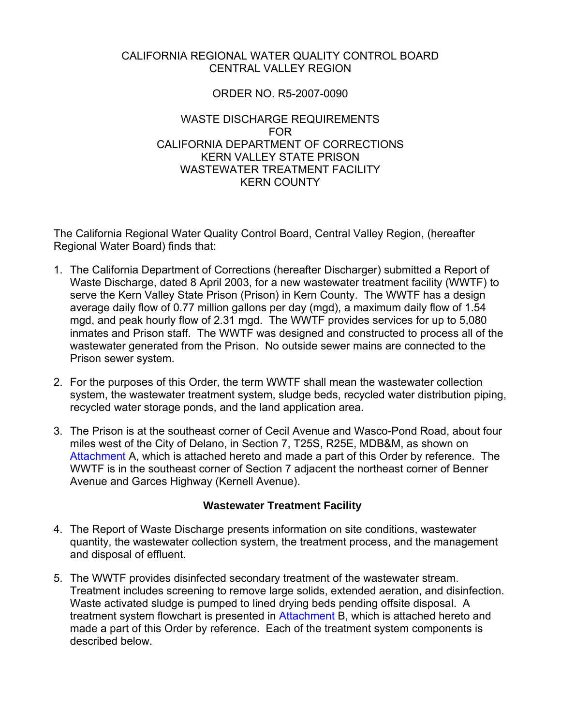### CALIFORNIA REGIONAL WATER QUALITY CONTROL BOARD CENTRAL VALLEY REGION

### ORDER NO. R5-2007-0090

### WASTE DISCHARGE REQUIREMENTS FOR CALIFORNIA DEPARTMENT OF CORRECTIONS KERN VALLEY STATE PRISON WASTEWATER TREATMENT FACILITY KERN COUNTY

The California Regional Water Quality Control Board, Central Valley Region, (hereafter Regional Water Board) finds that:

- 1. The California Department of Corrections (hereafter Discharger) submitted a Report of Waste Discharge, dated 8 April 2003, for a new wastewater treatment facility (WWTF) to serve the Kern Valley State Prison (Prison) in Kern County. The WWTF has a design average daily flow of 0.77 million gallons per day (mgd), a maximum daily flow of 1.54 mgd, and peak hourly flow of 2.31 mgd. The WWTF provides services for up to 5,080 inmates and Prison staff. The WWTF was designed and constructed to process all of the wastewater generated from the Prison. No outside sewer mains are connected to the Prison sewer system.
- 2. For the purposes of this Order, the term WWTF shall mean the wastewater collection system, the wastewater treatment system, sludge beds, recycled water distribution piping, recycled water storage ponds, and the land application area.
- 3. The Prison is at the southeast corner of Cecil Avenue and Wasco-Pond Road, about four miles west of the City of Delano, in Section 7, T25S, R25E, MDB&M, as shown on Attachment A, which is attached hereto and made a part of this Order by reference. The WWTF is in the southeast corner of Section 7 adjacent the northeast corner of Benner Avenue and Garces Highway (Kernell Avenue).

### **Wastewater Treatment Facility**

- 4. The Report of Waste Discharge presents information on site conditions, wastewater quantity, the wastewater collection system, the treatment process, and the management and disposal of effluent.
- 5. The WWTF provides disinfected secondary treatment of the wastewater stream. Treatment includes screening to remove large solids, extended aeration, and disinfection. Waste activated sludge is pumped to lined drying beds pending offsite disposal. A treatment system flowchart is presented in Attachment B, which is attached hereto and made a part of this Order by reference. Each of the treatment system components is described below.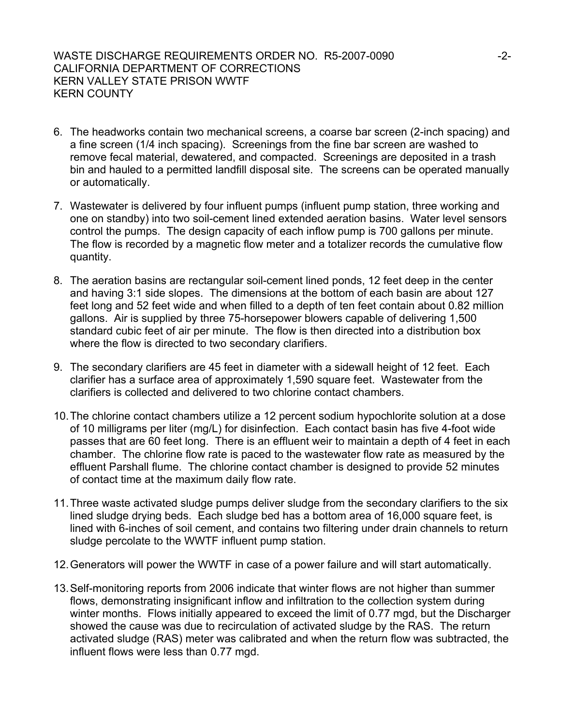- 6. The headworks contain two mechanical screens, a coarse bar screen (2-inch spacing) and a fine screen (1/4 inch spacing). Screenings from the fine bar screen are washed to remove fecal material, dewatered, and compacted. Screenings are deposited in a trash bin and hauled to a permitted landfill disposal site. The screens can be operated manually or automatically.
- 7. Wastewater is delivered by four influent pumps (influent pump station, three working and one on standby) into two soil-cement lined extended aeration basins. Water level sensors control the pumps. The design capacity of each inflow pump is 700 gallons per minute. The flow is recorded by a magnetic flow meter and a totalizer records the cumulative flow quantity.
- 8. The aeration basins are rectangular soil-cement lined ponds, 12 feet deep in the center and having 3:1 side slopes. The dimensions at the bottom of each basin are about 127 feet long and 52 feet wide and when filled to a depth of ten feet contain about 0.82 million gallons. Air is supplied by three 75-horsepower blowers capable of delivering 1,500 standard cubic feet of air per minute. The flow is then directed into a distribution box where the flow is directed to two secondary clarifiers.
- 9. The secondary clarifiers are 45 feet in diameter with a sidewall height of 12 feet. Each clarifier has a surface area of approximately 1,590 square feet. Wastewater from the clarifiers is collected and delivered to two chlorine contact chambers.
- 10. The chlorine contact chambers utilize a 12 percent sodium hypochlorite solution at a dose of 10 milligrams per liter (mg/L) for disinfection. Each contact basin has five 4-foot wide passes that are 60 feet long. There is an effluent weir to maintain a depth of 4 feet in each chamber. The chlorine flow rate is paced to the wastewater flow rate as measured by the effluent Parshall flume. The chlorine contact chamber is designed to provide 52 minutes of contact time at the maximum daily flow rate.
- 11. Three waste activated sludge pumps deliver sludge from the secondary clarifiers to the six lined sludge drying beds. Each sludge bed has a bottom area of 16,000 square feet, is lined with 6-inches of soil cement, and contains two filtering under drain channels to return sludge percolate to the WWTF influent pump station.
- 12. Generators will power the WWTF in case of a power failure and will start automatically.
- 13. Self-monitoring reports from 2006 indicate that winter flows are not higher than summer flows, demonstrating insignificant inflow and infiltration to the collection system during winter months. Flows initially appeared to exceed the limit of 0.77 mgd, but the Discharger showed the cause was due to recirculation of activated sludge by the RAS. The return activated sludge (RAS) meter was calibrated and when the return flow was subtracted, the influent flows were less than 0.77 mgd.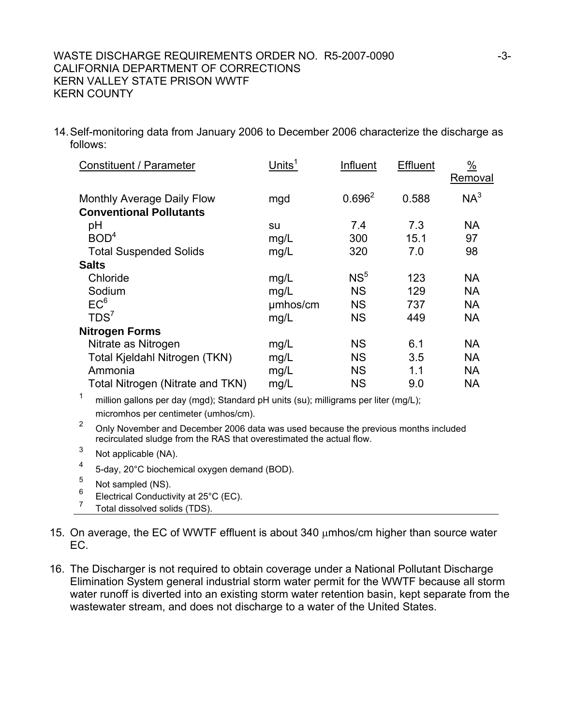14. Self-monitoring data from January 2006 to December 2006 characterize the discharge as follows:

| Constituent / Parameter          | Units $1$ | Influent        | <b>Effluent</b> | $\frac{0}{2}$   |
|----------------------------------|-----------|-----------------|-----------------|-----------------|
|                                  |           |                 |                 | Removal         |
| Monthly Average Daily Flow       | mgd       | $0.696^2$       | 0.588           | NA <sup>3</sup> |
| <b>Conventional Pollutants</b>   |           |                 |                 |                 |
| pH                               | su        | 7.4             | 7.3             | <b>NA</b>       |
| BOD <sup>4</sup>                 | mg/L      | 300             | 15.1            | 97              |
| <b>Total Suspended Solids</b>    | mg/L      | 320             | 7.0             | 98              |
| <b>Salts</b>                     |           |                 |                 |                 |
| Chloride                         | mg/L      | NS <sup>5</sup> | 123             | <b>NA</b>       |
| Sodium                           | mg/L      | <b>NS</b>       | 129             | <b>NA</b>       |
| EC <sup>6</sup>                  | umhos/cm  | <b>NS</b>       | 737             | <b>NA</b>       |
| TDS <sup>7</sup>                 | mg/L      | <b>NS</b>       | 449             | <b>NA</b>       |
| <b>Nitrogen Forms</b>            |           |                 |                 |                 |
| Nitrate as Nitrogen              | mg/L      | <b>NS</b>       | 6.1             | <b>NA</b>       |
| Total Kjeldahl Nitrogen (TKN)    | mg/L      | <b>NS</b>       | 3.5             | <b>NA</b>       |
| Ammonia                          | mg/L      | <b>NS</b>       | 1.1             | <b>NA</b>       |
| Total Nitrogen (Nitrate and TKN) | mg/L      | <b>NS</b>       | 9.0             | <b>NA</b>       |

<sup>1</sup> million gallons per day (mgd); Standard pH units (su); milligrams per liter (mg/L); micromhos per centimeter (umhos/cm).

<sup>2</sup> Only November and December 2006 data was used because the previous months included recirculated sludge from the RAS that overestimated the actual flow.

 $3$  Not applicable (NA).

<sup>4</sup> 5-day, 20°C biochemical oxygen demand (BOD).

- $\frac{5}{6}$  Not sampled (NS).
- <sup>6</sup> Electrical Conductivity at  $25^{\circ}$ C (EC).
- <sup>7</sup> Total dissolved solids (TDS).
- 15. On average, the EC of WWTF effluent is about 340 μmhos/cm higher than source water EC.
- 16. The Discharger is not required to obtain coverage under a National Pollutant Discharge Elimination System general industrial storm water permit for the WWTF because all storm water runoff is diverted into an existing storm water retention basin, kept separate from the wastewater stream, and does not discharge to a water of the United States.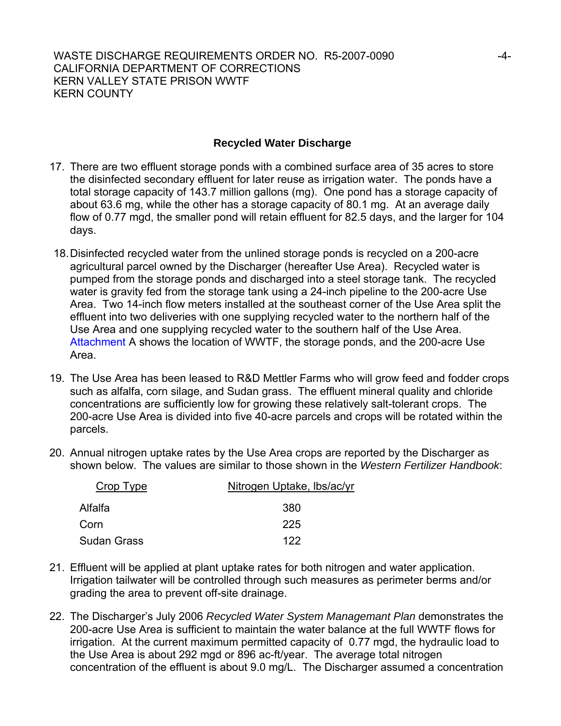#### **Recycled Water Discharge**

- 17. There are two effluent storage ponds with a combined surface area of 35 acres to store the disinfected secondary effluent for later reuse as irrigation water. The ponds have a total storage capacity of 143.7 million gallons (mg). One pond has a storage capacity of about 63.6 mg, while the other has a storage capacity of 80.1 mg. At an average daily flow of 0.77 mgd, the smaller pond will retain effluent for 82.5 days, and the larger for 104 days.
- 18. Disinfected recycled water from the unlined storage ponds is recycled on a 200-acre agricultural parcel owned by the Discharger (hereafter Use Area). Recycled water is pumped from the storage ponds and discharged into a steel storage tank. The recycled water is gravity fed from the storage tank using a 24-inch pipeline to the 200-acre Use Area. Two 14-inch flow meters installed at the southeast corner of the Use Area split the effluent into two deliveries with one supplying recycled water to the northern half of the Use Area and one supplying recycled water to the southern half of the Use Area. Attachment A shows the location of WWTF, the storage ponds, and the 200-acre Use Area.
- 19. The Use Area has been leased to R&D Mettler Farms who will grow feed and fodder crops such as alfalfa, corn silage, and Sudan grass. The effluent mineral quality and chloride concentrations are sufficiently low for growing these relatively salt-tolerant crops. The 200-acre Use Area is divided into five 40-acre parcels and crops will be rotated within the parcels.
- 20. Annual nitrogen uptake rates by the Use Area crops are reported by the Discharger as shown below. The values are similar to those shown in the *Western Fertilizer Handbook*:

| Crop Type   | Nitrogen Uptake, Ibs/ac/yr |
|-------------|----------------------------|
| Alfalfa     | 380                        |
| Corn        | 225                        |
| Sudan Grass | 122                        |

- 21. Effluent will be applied at plant uptake rates for both nitrogen and water application. Irrigation tailwater will be controlled through such measures as perimeter berms and/or grading the area to prevent off-site drainage.
- 22. The Discharger's July 2006 *Recycled Water System Managemant Plan* demonstrates the 200-acre Use Area is sufficient to maintain the water balance at the full WWTF flows for irrigation. At the current maximum permitted capacity of 0.77 mgd, the hydraulic load to the Use Area is about 292 mgd or 896 ac-ft/year. The average total nitrogen concentration of the effluent is about 9.0 mg/L. The Discharger assumed a concentration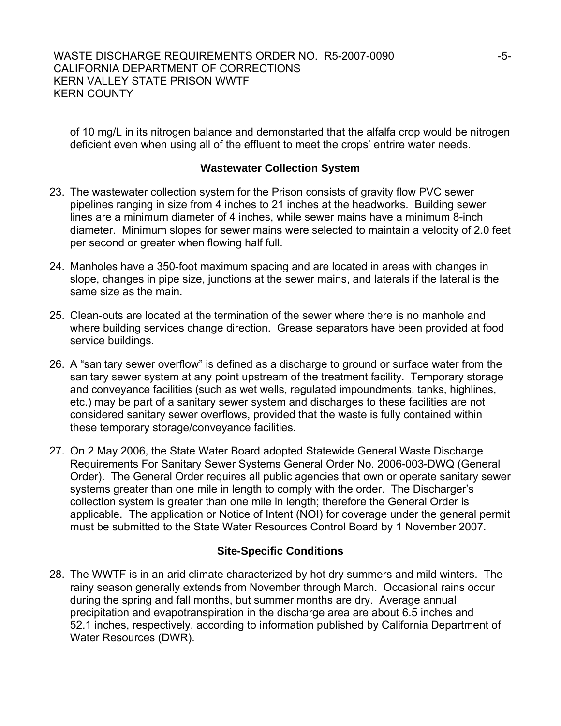of 10 mg/L in its nitrogen balance and demonstarted that the alfalfa crop would be nitrogen deficient even when using all of the effluent to meet the crops' entrire water needs.

#### **Wastewater Collection System**

- 23. The wastewater collection system for the Prison consists of gravity flow PVC sewer pipelines ranging in size from 4 inches to 21 inches at the headworks. Building sewer lines are a minimum diameter of 4 inches, while sewer mains have a minimum 8-inch diameter. Minimum slopes for sewer mains were selected to maintain a velocity of 2.0 feet per second or greater when flowing half full.
- 24. Manholes have a 350-foot maximum spacing and are located in areas with changes in slope, changes in pipe size, junctions at the sewer mains, and laterals if the lateral is the same size as the main.
- 25. Clean-outs are located at the termination of the sewer where there is no manhole and where building services change direction. Grease separators have been provided at food service buildings.
- 26. A "sanitary sewer overflow" is defined as a discharge to ground or surface water from the sanitary sewer system at any point upstream of the treatment facility. Temporary storage and conveyance facilities (such as wet wells, regulated impoundments, tanks, highlines, etc.) may be part of a sanitary sewer system and discharges to these facilities are not considered sanitary sewer overflows, provided that the waste is fully contained within these temporary storage/conveyance facilities.
- 27. On 2 May 2006, the State Water Board adopted Statewide General Waste Discharge Requirements For Sanitary Sewer Systems General Order No. 2006-003-DWQ (General Order). The General Order requires all public agencies that own or operate sanitary sewer systems greater than one mile in length to comply with the order. The Discharger's collection system is greater than one mile in length; therefore the General Order is applicable. The application or Notice of Intent (NOI) for coverage under the general permit must be submitted to the State Water Resources Control Board by 1 November 2007.

### **Site-Specific Conditions**

28. The WWTF is in an arid climate characterized by hot dry summers and mild winters. The rainy season generally extends from November through March. Occasional rains occur during the spring and fall months, but summer months are dry. Average annual precipitation and evapotranspiration in the discharge area are about 6.5 inches and 52.1 inches, respectively, according to information published by California Department of Water Resources (DWR).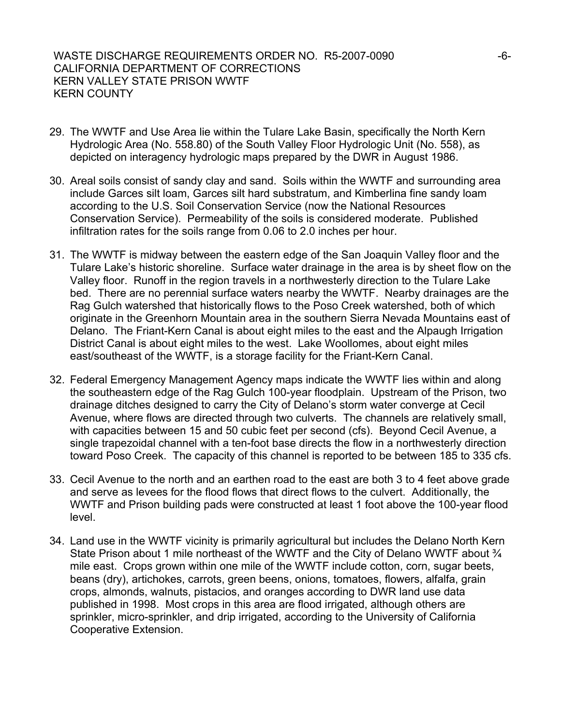- 29. The WWTF and Use Area lie within the Tulare Lake Basin, specifically the North Kern Hydrologic Area (No. 558.80) of the South Valley Floor Hydrologic Unit (No. 558), as depicted on interagency hydrologic maps prepared by the DWR in August 1986.
- 30. Areal soils consist of sandy clay and sand. Soils within the WWTF and surrounding area include Garces silt loam, Garces silt hard substratum, and Kimberlina fine sandy loam according to the U.S. Soil Conservation Service (now the National Resources Conservation Service). Permeability of the soils is considered moderate. Published infiltration rates for the soils range from 0.06 to 2.0 inches per hour.
- 31. The WWTF is midway between the eastern edge of the San Joaquin Valley floor and the Tulare Lake's historic shoreline. Surface water drainage in the area is by sheet flow on the Valley floor. Runoff in the region travels in a northwesterly direction to the Tulare Lake bed. There are no perennial surface waters nearby the WWTF. Nearby drainages are the Rag Gulch watershed that historically flows to the Poso Creek watershed, both of which originate in the Greenhorn Mountain area in the southern Sierra Nevada Mountains east of Delano. The Friant-Kern Canal is about eight miles to the east and the Alpaugh Irrigation District Canal is about eight miles to the west. Lake Woollomes, about eight miles east/southeast of the WWTF, is a storage facility for the Friant-Kern Canal.
- 32. Federal Emergency Management Agency maps indicate the WWTF lies within and along the southeastern edge of the Rag Gulch 100-year floodplain. Upstream of the Prison, two drainage ditches designed to carry the City of Delano's storm water converge at Cecil Avenue, where flows are directed through two culverts. The channels are relatively small, with capacities between 15 and 50 cubic feet per second (cfs). Beyond Cecil Avenue, a single trapezoidal channel with a ten-foot base directs the flow in a northwesterly direction toward Poso Creek. The capacity of this channel is reported to be between 185 to 335 cfs.
- 33. Cecil Avenue to the north and an earthen road to the east are both 3 to 4 feet above grade and serve as levees for the flood flows that direct flows to the culvert. Additionally, the WWTF and Prison building pads were constructed at least 1 foot above the 100-year flood level.
- 34. Land use in the WWTF vicinity is primarily agricultural but includes the Delano North Kern State Prison about 1 mile northeast of the WWTF and the City of Delano WWTF about  $\frac{3}{4}$ mile east. Crops grown within one mile of the WWTF include cotton, corn, sugar beets, beans (dry), artichokes, carrots, green beens, onions, tomatoes, flowers, alfalfa, grain crops, almonds, walnuts, pistacios, and oranges according to DWR land use data published in 1998. Most crops in this area are flood irrigated, although others are sprinkler, micro-sprinkler, and drip irrigated, according to the University of California Cooperative Extension.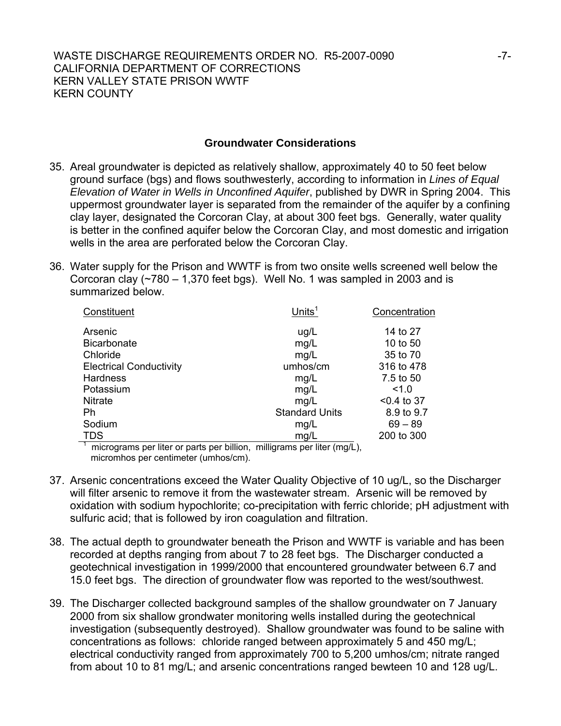#### **Groundwater Considerations**

- 35. Areal groundwater is depicted as relatively shallow, approximately 40 to 50 feet below ground surface (bgs) and flows southwesterly, according to information in *Lines of Equal Elevation of Water in Wells in Unconfined Aquifer*, published by DWR in Spring 2004. This uppermost groundwater layer is separated from the remainder of the aquifer by a confining clay layer, designated the Corcoran Clay, at about 300 feet bgs. Generally, water quality is better in the confined aquifer below the Corcoran Clay, and most domestic and irrigation wells in the area are perforated below the Corcoran Clay.
- 36. Water supply for the Prison and WWTF is from two onsite wells screened well below the Corcoran clay  $(-780 - 1,370$  feet bgs). Well No. 1 was sampled in 2003 and is summarized below.

| Constituent                    | Units <sup>1</sup>    | Concentration |
|--------------------------------|-----------------------|---------------|
| Arsenic                        | ug/L                  | 14 to 27      |
| <b>Bicarbonate</b>             | mg/L                  | 10 to 50      |
| Chloride                       | mg/L                  | 35 to 70      |
| <b>Electrical Conductivity</b> | umhos/cm              | 316 to 478    |
| Hardness                       | mg/L                  | 7.5 to 50     |
| Potassium                      | mg/L                  | 1.0           |
| <b>Nitrate</b>                 | mg/L                  | $< 0.4$ to 37 |
| Ph                             | <b>Standard Units</b> | 8.9 to 9.7    |
| Sodium                         | mg/L                  | $69 - 89$     |
| <b>TDS</b>                     | mg/L                  | 200 to 300    |

<sup>1</sup> micrograms per liter or parts per billion, milligrams per liter (mg/L), micromhos per centimeter (umhos/cm).

- 37. Arsenic concentrations exceed the Water Quality Objective of 10 ug/L, so the Discharger will filter arsenic to remove it from the wastewater stream. Arsenic will be removed by oxidation with sodium hypochlorite; co-precipitation with ferric chloride; pH adjustment with sulfuric acid; that is followed by iron coagulation and filtration.
- 38. The actual depth to groundwater beneath the Prison and WWTF is variable and has been recorded at depths ranging from about 7 to 28 feet bgs. The Discharger conducted a geotechnical investigation in 1999/2000 that encountered groundwater between 6.7 and 15.0 feet bgs. The direction of groundwater flow was reported to the west/southwest.
- 39. The Discharger collected background samples of the shallow groundwater on 7 January 2000 from six shallow grondwater monitoring wells installed during the geotechnical investigation (subsequently destroyed). Shallow groundwater was found to be saline with concentrations as follows: chloride ranged between approximately 5 and 450 mg/L; electrical conductivity ranged from approximately 700 to 5,200 umhos/cm; nitrate ranged from about 10 to 81 mg/L; and arsenic concentrations ranged bewteen 10 and 128 ug/L.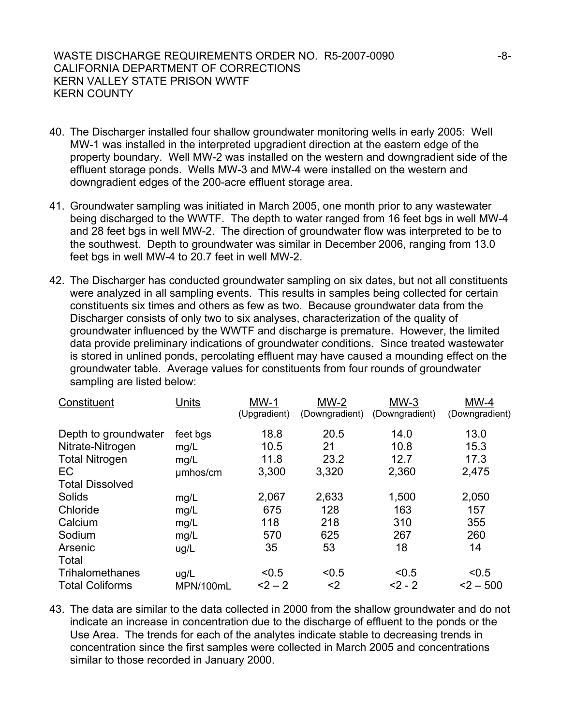- 40. The Discharger installed four shallow groundwater monitoring wells in early 2005: Well MW-1 was installed in the interpreted upgradient direction at the eastern edge of the property boundary. Well MW-2 was installed on the western and downgradient side of the effluent storage ponds. Wells MW-3 and MW-4 were installed on the western and downgradient edges of the 200-acre effluent storage area.
- 41. Groundwater sampling was initiated in March 2005, one month prior to any wastewater being discharged to the WWTF. The depth to water ranged from 16 feet bgs in well MW-4 and 28 feet bgs in well MW-2. The direction of groundwater flow was interpreted to be to the southwest. Depth to groundwater was similar in December 2006, ranging from 13.0 feet bgs in well MW-4 to 20.7 feet in well MW-2.
- 42. The Discharger has conducted groundwater sampling on six dates, but not all constituents were analyzed in all sampling events. This results in samples being collected for certain constituents six times and others as few as two. Because groundwater data from the Discharger consists of only two to six analyses, characterization of the quality of groundwater influenced by the WWTF and discharge is premature. However, the limited data provide preliminary indications of groundwater conditions. Since treated wastewater is stored in unlined ponds, percolating effluent may have caused a mounding effect on the groundwater table. Average values for constituents from four rounds of groundwater sampling are listed below:

| Constituent            | Units     | $MW-1$       | $MW-2$         | $MW-3$         | $MW-4$         |
|------------------------|-----------|--------------|----------------|----------------|----------------|
|                        |           | (Upgradient) | (Downgradient) | (Downgradient) | (Downgradient) |
| Depth to groundwater   | feet bgs  | 18.8         | 20.5           | 14.0           | 13.0           |
| Nitrate-Nitrogen       | mg/L      | 10.5         | 21             | 10.8           | 15.3           |
| <b>Total Nitrogen</b>  | mg/L      | 11.8         | 23.2           | 12.7           | 17.3           |
| EC                     | umhos/cm  | 3,300        | 3,320          | 2,360          | 2,475          |
| <b>Total Dissolved</b> |           |              |                |                |                |
| <b>Solids</b>          | mg/L      | 2,067        | 2,633          | 1,500          | 2,050          |
| Chloride               | mg/L      | 675          | 128            | 163            | 157            |
| Calcium                | mg/L      | 118          | 218            | 310            | 355            |
| Sodium                 | mg/L      | 570          | 625            | 267            | 260            |
| Arsenic                | ug/L      | 35           | 53             | 18             | 14             |
| Total                  |           |              |                |                |                |
| Trihalomethanes        | ug/L      | < 0.5        | < 0.5          | < 0.5          | < 0.5          |
| <b>Total Coliforms</b> | MPN/100mL | $2 - 2$      | <2             | $2 - 2$        | $< 2 - 500$    |

43. The data are similar to the data collected in 2000 from the shallow groundwater and do not indicate an increase in concentration due to the discharge of effluent to the ponds or the Use Area. The trends for each of the analytes indicate stable to decreasing trends in concentration since the first samples were collected in March 2005 and concentrations similar to those recorded in January 2000.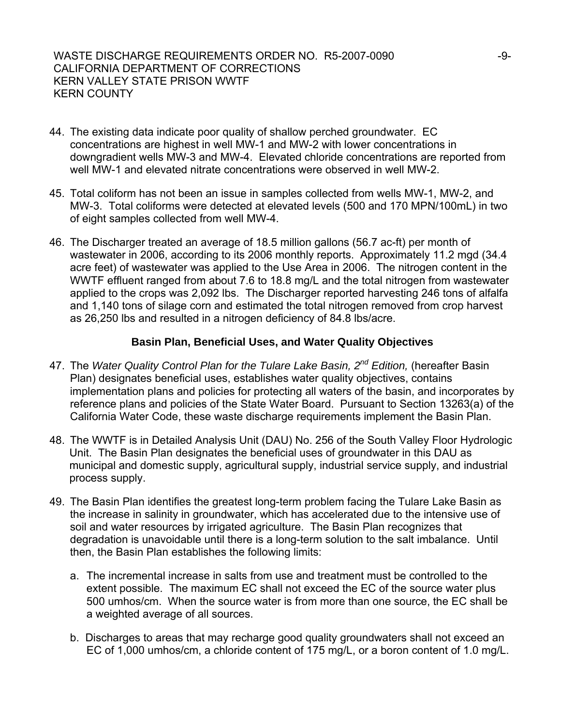- 44. The existing data indicate poor quality of shallow perched groundwater. EC concentrations are highest in well MW-1 and MW-2 with lower concentrations in downgradient wells MW-3 and MW-4. Elevated chloride concentrations are reported from well MW-1 and elevated nitrate concentrations were observed in well MW-2.
- 45. Total coliform has not been an issue in samples collected from wells MW-1, MW-2, and MW-3. Total coliforms were detected at elevated levels (500 and 170 MPN/100mL) in two of eight samples collected from well MW-4.
- 46. The Discharger treated an average of 18.5 million gallons (56.7 ac-ft) per month of wastewater in 2006, according to its 2006 monthly reports. Approximately 11.2 mgd (34.4 acre feet) of wastewater was applied to the Use Area in 2006. The nitrogen content in the WWTF effluent ranged from about 7.6 to 18.8 mg/L and the total nitrogen from wastewater applied to the crops was 2,092 lbs. The Discharger reported harvesting 246 tons of alfalfa and 1,140 tons of silage corn and estimated the total nitrogen removed from crop harvest as 26,250 lbs and resulted in a nitrogen deficiency of 84.8 lbs/acre.

### **Basin Plan, Beneficial Uses, and Water Quality Objectives**

- 47. The *Water Quality Control Plan for the Tulare Lake Basin, 2nd Edition,* (hereafter Basin Plan) designates beneficial uses, establishes water quality objectives, contains implementation plans and policies for protecting all waters of the basin, and incorporates by reference plans and policies of the State Water Board. Pursuant to Section 13263(a) of the California Water Code, these waste discharge requirements implement the Basin Plan.
- 48. The WWTF is in Detailed Analysis Unit (DAU) No. 256 of the South Valley Floor Hydrologic Unit. The Basin Plan designates the beneficial uses of groundwater in this DAU as municipal and domestic supply, agricultural supply, industrial service supply, and industrial process supply.
- 49. The Basin Plan identifies the greatest long-term problem facing the Tulare Lake Basin as the increase in salinity in groundwater, which has accelerated due to the intensive use of soil and water resources by irrigated agriculture. The Basin Plan recognizes that degradation is unavoidable until there is a long-term solution to the salt imbalance. Until then, the Basin Plan establishes the following limits:
	- a. The incremental increase in salts from use and treatment must be controlled to the extent possible. The maximum EC shall not exceed the EC of the source water plus 500 umhos/cm. When the source water is from more than one source, the EC shall be a weighted average of all sources.
	- b. Discharges to areas that may recharge good quality groundwaters shall not exceed an EC of 1,000 umhos/cm, a chloride content of 175 mg/L, or a boron content of 1.0 mg/L.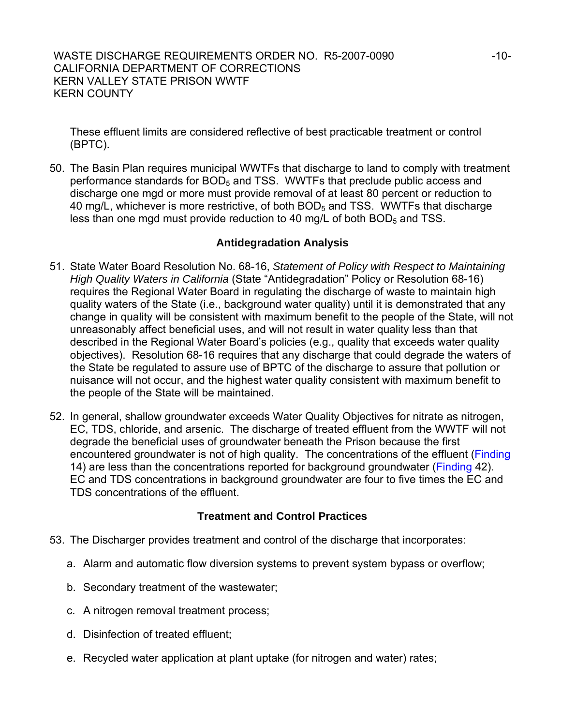These effluent limits are considered reflective of best practicable treatment or control (BPTC).

50. The Basin Plan requires municipal WWTFs that discharge to land to comply with treatment performance standards for BOD<sub>5</sub> and TSS. WWTFs that preclude public access and discharge one mgd or more must provide removal of at least 80 percent or reduction to 40 mg/ $\overline{L}$ , whichever is more restrictive, of both BOD<sub>5</sub> and TSS. WWTFs that discharge less than one mgd must provide reduction to 40 mg/L of both  $BOD<sub>5</sub>$  and TSS.

# **Antidegradation Analysis**

- 51. State Water Board Resolution No. 68-16, *Statement of Policy with Respect to Maintaining High Quality Waters in California* (State "Antidegradation" Policy or Resolution 68-16) requires the Regional Water Board in regulating the discharge of waste to maintain high quality waters of the State (i.e., background water quality) until it is demonstrated that any change in quality will be consistent with maximum benefit to the people of the State, will not unreasonably affect beneficial uses, and will not result in water quality less than that described in the Regional Water Board's policies (e.g., quality that exceeds water quality objectives). Resolution 68-16 requires that any discharge that could degrade the waters of the State be regulated to assure use of BPTC of the discharge to assure that pollution or nuisance will not occur, and the highest water quality consistent with maximum benefit to the people of the State will be maintained.
- 52. In general, shallow groundwater exceeds Water Quality Objectives for nitrate as nitrogen, EC, TDS, chloride, and arsenic. The discharge of treated effluent from the WWTF will not degrade the beneficial uses of groundwater beneath the Prison because the first encountered groundwater is not of high quality. The concentrations of the effluent (Finding 14) are less than the concentrations reported for background groundwater (Finding 42). EC and TDS concentrations in background groundwater are four to five times the EC and TDS concentrations of the effluent.

### **Treatment and Control Practices**

- 53. The Discharger provides treatment and control of the discharge that incorporates:
	- a. Alarm and automatic flow diversion systems to prevent system bypass or overflow;
	- b. Secondary treatment of the wastewater;
	- c. A nitrogen removal treatment process;
	- d. Disinfection of treated effluent;
	- e. Recycled water application at plant uptake (for nitrogen and water) rates;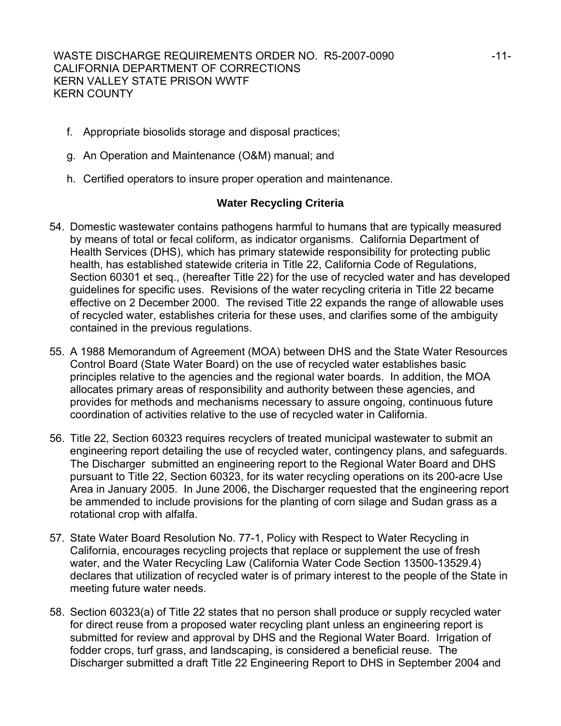- f. Appropriate biosolids storage and disposal practices;
- g. An Operation and Maintenance (O&M) manual; and
- h. Certified operators to insure proper operation and maintenance.

# **Water Recycling Criteria**

- 54. Domestic wastewater contains pathogens harmful to humans that are typically measured by means of total or fecal coliform, as indicator organisms. California Department of Health Services (DHS), which has primary statewide responsibility for protecting public health, has established statewide criteria in Title 22, California Code of Regulations, Section 60301 et seq., (hereafter Title 22) for the use of recycled water and has developed guidelines for specific uses. Revisions of the water recycling criteria in Title 22 became effective on 2 December 2000. The revised Title 22 expands the range of allowable uses of recycled water, establishes criteria for these uses, and clarifies some of the ambiguity contained in the previous regulations.
- 55. A 1988 Memorandum of Agreement (MOA) between DHS and the State Water Resources Control Board (State Water Board) on the use of recycled water establishes basic principles relative to the agencies and the regional water boards. In addition, the MOA allocates primary areas of responsibility and authority between these agencies, and provides for methods and mechanisms necessary to assure ongoing, continuous future coordination of activities relative to the use of recycled water in California.
- 56. Title 22, Section 60323 requires recyclers of treated municipal wastewater to submit an engineering report detailing the use of recycled water, contingency plans, and safeguards. The Discharger submitted an engineering report to the Regional Water Board and DHS pursuant to Title 22, Section 60323, for its water recycling operations on its 200-acre Use Area in January 2005. In June 2006, the Discharger requested that the engineering report be ammended to include provisions for the planting of corn silage and Sudan grass as a rotational crop with alfalfa.
- 57. State Water Board Resolution No. 77-1, Policy with Respect to Water Recycling in California, encourages recycling projects that replace or supplement the use of fresh water, and the Water Recycling Law (California Water Code Section 13500-13529.4) declares that utilization of recycled water is of primary interest to the people of the State in meeting future water needs.
- 58. Section 60323(a) of Title 22 states that no person shall produce or supply recycled water for direct reuse from a proposed water recycling plant unless an engineering report is submitted for review and approval by DHS and the Regional Water Board. Irrigation of fodder crops, turf grass, and landscaping, is considered a beneficial reuse. The Discharger submitted a draft Title 22 Engineering Report to DHS in September 2004 and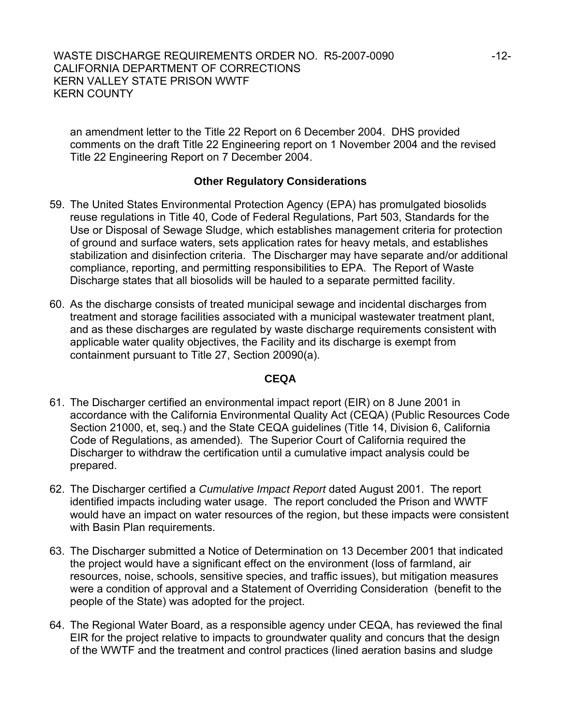an amendment letter to the Title 22 Report on 6 December 2004. DHS provided comments on the draft Title 22 Engineering report on 1 November 2004 and the revised Title 22 Engineering Report on 7 December 2004.

### **Other Regulatory Considerations**

- 59. The United States Environmental Protection Agency (EPA) has promulgated biosolids reuse regulations in Title 40, Code of Federal Regulations, Part 503, Standards for the Use or Disposal of Sewage Sludge, which establishes management criteria for protection of ground and surface waters, sets application rates for heavy metals, and establishes stabilization and disinfection criteria. The Discharger may have separate and/or additional compliance, reporting, and permitting responsibilities to EPA. The Report of Waste Discharge states that all biosolids will be hauled to a separate permitted facility.
- 60. As the discharge consists of treated municipal sewage and incidental discharges from treatment and storage facilities associated with a municipal wastewater treatment plant, and as these discharges are regulated by waste discharge requirements consistent with applicable water quality objectives, the Facility and its discharge is exempt from containment pursuant to Title 27, Section 20090(a).

### **CEQA**

- 61. The Discharger certified an environmental impact report (EIR) on 8 June 2001 in accordance with the California Environmental Quality Act (CEQA) (Public Resources Code Section 21000, et, seq.) and the State CEQA guidelines (Title 14, Division 6, California Code of Regulations, as amended). The Superior Court of California required the Discharger to withdraw the certification until a cumulative impact analysis could be prepared.
- 62. The Discharger certified a *Cumulative Impact Report* dated August 2001. The report identified impacts including water usage. The report concluded the Prison and WWTF would have an impact on water resources of the region, but these impacts were consistent with Basin Plan requirements.
- 63. The Discharger submitted a Notice of Determination on 13 December 2001 that indicated the project would have a significant effect on the environment (loss of farmland, air resources, noise, schools, sensitive species, and traffic issues), but mitigation measures were a condition of approval and a Statement of Overriding Consideration (benefit to the people of the State) was adopted for the project.
- 64. The Regional Water Board, as a responsible agency under CEQA, has reviewed the final EIR for the project relative to impacts to groundwater quality and concurs that the design of the WWTF and the treatment and control practices (lined aeration basins and sludge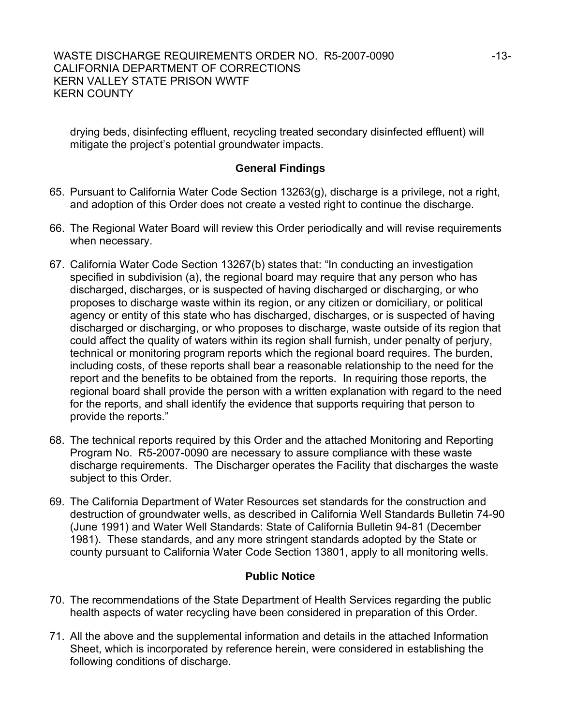drying beds, disinfecting effluent, recycling treated secondary disinfected effluent) will mitigate the project's potential groundwater impacts.

### **General Findings**

- 65. Pursuant to California Water Code Section 13263(g), discharge is a privilege, not a right, and adoption of this Order does not create a vested right to continue the discharge.
- 66. The Regional Water Board will review this Order periodically and will revise requirements when necessary.
- 67. California Water Code Section 13267(b) states that: "In conducting an investigation specified in subdivision (a), the regional board may require that any person who has discharged, discharges, or is suspected of having discharged or discharging, or who proposes to discharge waste within its region, or any citizen or domiciliary, or political agency or entity of this state who has discharged, discharges, or is suspected of having discharged or discharging, or who proposes to discharge, waste outside of its region that could affect the quality of waters within its region shall furnish, under penalty of perjury, technical or monitoring program reports which the regional board requires. The burden, including costs, of these reports shall bear a reasonable relationship to the need for the report and the benefits to be obtained from the reports. In requiring those reports, the regional board shall provide the person with a written explanation with regard to the need for the reports, and shall identify the evidence that supports requiring that person to provide the reports."
- 68. The technical reports required by this Order and the attached Monitoring and Reporting Program No. R5-2007-0090 are necessary to assure compliance with these waste discharge requirements. The Discharger operates the Facility that discharges the waste subject to this Order.
- 69. The California Department of Water Resources set standards for the construction and destruction of groundwater wells, as described in California Well Standards Bulletin 74-90 (June 1991) and Water Well Standards: State of California Bulletin 94-81 (December 1981). These standards, and any more stringent standards adopted by the State or county pursuant to California Water Code Section 13801, apply to all monitoring wells.

### **Public Notice**

- 70. The recommendations of the State Department of Health Services regarding the public health aspects of water recycling have been considered in preparation of this Order.
- 71. All the above and the supplemental information and details in the attached Information Sheet, which is incorporated by reference herein, were considered in establishing the following conditions of discharge.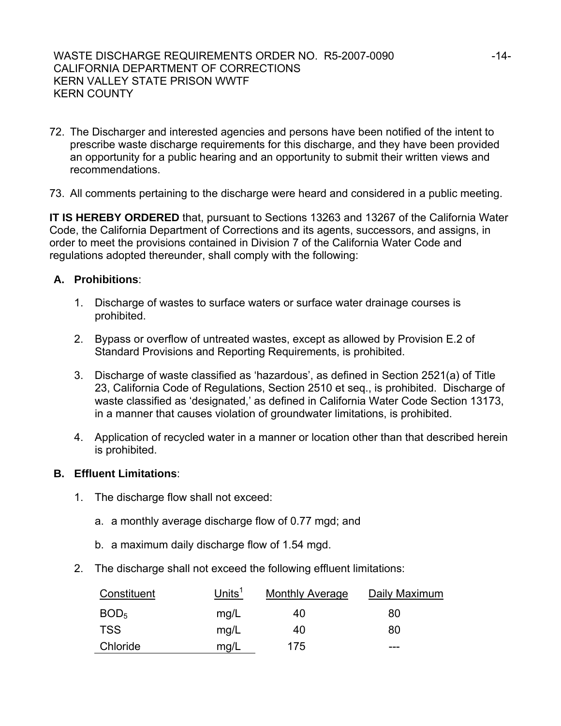- 72. The Discharger and interested agencies and persons have been notified of the intent to prescribe waste discharge requirements for this discharge, and they have been provided an opportunity for a public hearing and an opportunity to submit their written views and recommendations.
- 73. All comments pertaining to the discharge were heard and considered in a public meeting.

**IT IS HEREBY ORDERED** that, pursuant to Sections 13263 and 13267 of the California Water Code, the California Department of Corrections and its agents, successors, and assigns, in order to meet the provisions contained in Division 7 of the California Water Code and regulations adopted thereunder, shall comply with the following:

# **A. Prohibitions**:

- 1. Discharge of wastes to surface waters or surface water drainage courses is prohibited.
- 2. Bypass or overflow of untreated wastes, except as allowed by Provision E.2 of Standard Provisions and Reporting Requirements, is prohibited.
- 3. Discharge of waste classified as 'hazardous', as defined in Section 2521(a) of Title 23, California Code of Regulations, Section 2510 et seq., is prohibited. Discharge of waste classified as 'designated,' as defined in California Water Code Section 13173, in a manner that causes violation of groundwater limitations, is prohibited.
- 4. Application of recycled water in a manner or location other than that described herein is prohibited.

### **B. Effluent Limitations**:

- 1. The discharge flow shall not exceed:
	- a. a monthly average discharge flow of 0.77 mgd; and
	- b. a maximum daily discharge flow of 1.54 mgd.
- 2. The discharge shall not exceed the following effluent limitations:

| Constituent      | Units $1$ | <b>Monthly Average</b> | Daily Maximum |
|------------------|-----------|------------------------|---------------|
| BOD <sub>5</sub> | mg/L      | 40                     | 80            |
| <b>TSS</b>       | mq/L      | 40                     | 80            |
| Chloride         | mg/L      | 175                    | ___           |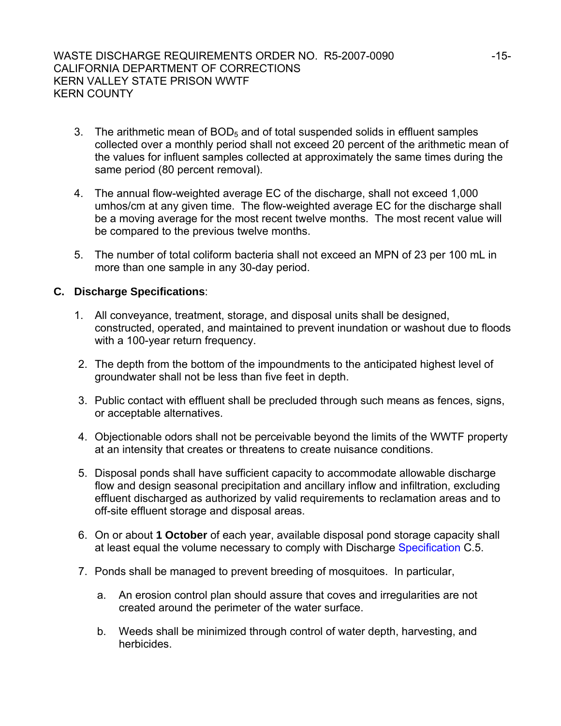- 3. The arithmetic mean of  $BOD<sub>5</sub>$  and of total suspended solids in effluent samples collected over a monthly period shall not exceed 20 percent of the arithmetic mean of the values for influent samples collected at approximately the same times during the same period (80 percent removal).
- 4. The annual flow-weighted average EC of the discharge, shall not exceed 1,000 umhos/cm at any given time. The flow-weighted average EC for the discharge shall be a moving average for the most recent twelve months. The most recent value will be compared to the previous twelve months.
- 5. The number of total coliform bacteria shall not exceed an MPN of 23 per 100 mL in more than one sample in any 30-day period.

### **C. Discharge Specifications**:

- 1. All conveyance, treatment, storage, and disposal units shall be designed, constructed, operated, and maintained to prevent inundation or washout due to floods with a 100-year return frequency.
- 2. The depth from the bottom of the impoundments to the anticipated highest level of groundwater shall not be less than five feet in depth.
- 3. Public contact with effluent shall be precluded through such means as fences, signs, or acceptable alternatives.
- 4. Objectionable odors shall not be perceivable beyond the limits of the WWTF property at an intensity that creates or threatens to create nuisance conditions.
- 5. Disposal ponds shall have sufficient capacity to accommodate allowable discharge flow and design seasonal precipitation and ancillary inflow and infiltration, excluding effluent discharged as authorized by valid requirements to reclamation areas and to off-site effluent storage and disposal areas.
- 6. On or about **1 October** of each year, available disposal pond storage capacity shall at least equal the volume necessary to comply with Discharge Specification C.5.
- 7. Ponds shall be managed to prevent breeding of mosquitoes. In particular,
	- a. An erosion control plan should assure that coves and irregularities are not created around the perimeter of the water surface.
	- b. Weeds shall be minimized through control of water depth, harvesting, and herbicides.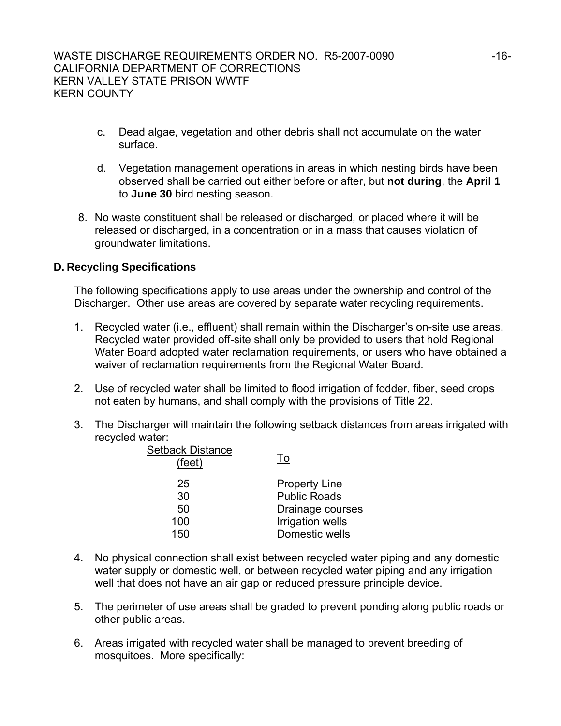- c. Dead algae, vegetation and other debris shall not accumulate on the water surface.
- d. Vegetation management operations in areas in which nesting birds have been observed shall be carried out either before or after, but **not during**, the **April 1** to **June 30** bird nesting season.
- 8. No waste constituent shall be released or discharged, or placed where it will be released or discharged, in a concentration or in a mass that causes violation of groundwater limitations.

# **D. Recycling Specifications**

The following specifications apply to use areas under the ownership and control of the Discharger. Other use areas are covered by separate water recycling requirements.

- 1. Recycled water (i.e., effluent) shall remain within the Discharger's on-site use areas. Recycled water provided off-site shall only be provided to users that hold Regional Water Board adopted water reclamation requirements, or users who have obtained a waiver of reclamation requirements from the Regional Water Board.
- 2. Use of recycled water shall be limited to flood irrigation of fodder, fiber, seed crops not eaten by humans, and shall comply with the provisions of Title 22.
- 3. The Discharger will maintain the following setback distances from areas irrigated with recycled water:

| <b>Setback Distance</b><br>$(\text{feet})$ | To                                          |
|--------------------------------------------|---------------------------------------------|
| 25<br>30                                   | <b>Property Line</b><br><b>Public Roads</b> |
| 50                                         | Drainage courses                            |
| 100                                        | Irrigation wells                            |
| 150                                        | Domestic wells                              |

- 4. No physical connection shall exist between recycled water piping and any domestic water supply or domestic well, or between recycled water piping and any irrigation well that does not have an air gap or reduced pressure principle device.
- 5. The perimeter of use areas shall be graded to prevent ponding along public roads or other public areas.
- 6. Areas irrigated with recycled water shall be managed to prevent breeding of mosquitoes. More specifically: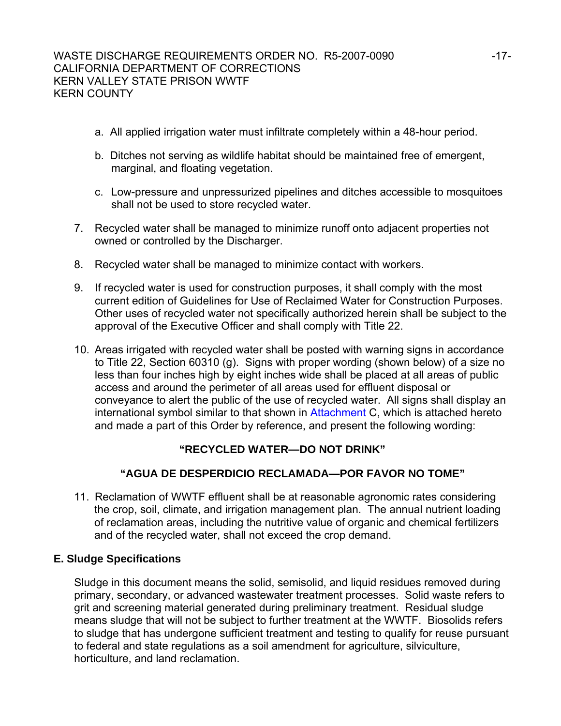- a. All applied irrigation water must infiltrate completely within a 48-hour period.
- b. Ditches not serving as wildlife habitat should be maintained free of emergent, marginal, and floating vegetation.
- c. Low-pressure and unpressurized pipelines and ditches accessible to mosquitoes shall not be used to store recycled water.
- 7. Recycled water shall be managed to minimize runoff onto adjacent properties not owned or controlled by the Discharger.
- 8. Recycled water shall be managed to minimize contact with workers.
- 9. If recycled water is used for construction purposes, it shall comply with the most current edition of Guidelines for Use of Reclaimed Water for Construction Purposes. Other uses of recycled water not specifically authorized herein shall be subject to the approval of the Executive Officer and shall comply with Title 22.
- 10. Areas irrigated with recycled water shall be posted with warning signs in accordance to Title 22, Section 60310 (g). Signs with proper wording (shown below) of a size no less than four inches high by eight inches wide shall be placed at all areas of public access and around the perimeter of all areas used for effluent disposal or conveyance to alert the public of the use of recycled water. All signs shall display an international symbol similar to that shown in Attachment C, which is attached hereto and made a part of this Order by reference, and present the following wording:

# **"RECYCLED WATER—DO NOT DRINK"**

# **"AGUA DE DESPERDICIO RECLAMADA—POR FAVOR NO TOME"**

11. Reclamation of WWTF effluent shall be at reasonable agronomic rates considering the crop, soil, climate, and irrigation management plan. The annual nutrient loading of reclamation areas, including the nutritive value of organic and chemical fertilizers and of the recycled water, shall not exceed the crop demand.

### **E. Sludge Specifications**

Sludge in this document means the solid, semisolid, and liquid residues removed during primary, secondary, or advanced wastewater treatment processes. Solid waste refers to grit and screening material generated during preliminary treatment. Residual sludge means sludge that will not be subject to further treatment at the WWTF. Biosolids refers to sludge that has undergone sufficient treatment and testing to qualify for reuse pursuant to federal and state regulations as a soil amendment for agriculture, silviculture, horticulture, and land reclamation.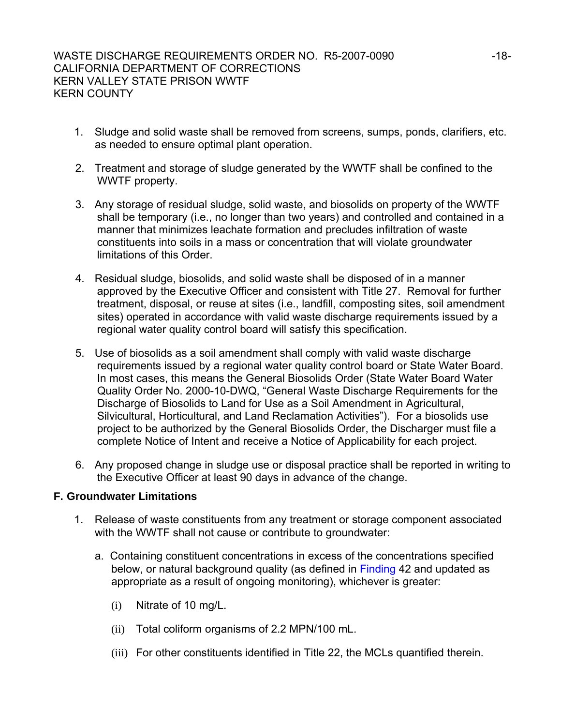- 1. Sludge and solid waste shall be removed from screens, sumps, ponds, clarifiers, etc. as needed to ensure optimal plant operation.
- 2. Treatment and storage of sludge generated by the WWTF shall be confined to the WWTF property.
- 3. Any storage of residual sludge, solid waste, and biosolids on property of the WWTF shall be temporary (i.e., no longer than two years) and controlled and contained in a manner that minimizes leachate formation and precludes infiltration of waste constituents into soils in a mass or concentration that will violate groundwater limitations of this Order.
- 4. Residual sludge, biosolids, and solid waste shall be disposed of in a manner approved by the Executive Officer and consistent with Title 27. Removal for further treatment, disposal, or reuse at sites (i.e., landfill, composting sites, soil amendment sites) operated in accordance with valid waste discharge requirements issued by a regional water quality control board will satisfy this specification.
- 5. Use of biosolids as a soil amendment shall comply with valid waste discharge requirements issued by a regional water quality control board or State Water Board. In most cases, this means the General Biosolids Order (State Water Board Water Quality Order No. 2000-10-DWQ, "General Waste Discharge Requirements for the Discharge of Biosolids to Land for Use as a Soil Amendment in Agricultural, Silvicultural, Horticultural, and Land Reclamation Activities"). For a biosolids use project to be authorized by the General Biosolids Order, the Discharger must file a complete Notice of Intent and receive a Notice of Applicability for each project.
- 6. Any proposed change in sludge use or disposal practice shall be reported in writing to the Executive Officer at least 90 days in advance of the change.

### **F. Groundwater Limitations**

- 1. Release of waste constituents from any treatment or storage component associated with the WWTF shall not cause or contribute to groundwater:
	- a. Containing constituent concentrations in excess of the concentrations specified below, or natural background quality (as defined in Finding 42 and updated as appropriate as a result of ongoing monitoring), whichever is greater:
		- (i) Nitrate of 10 mg/L.
		- (ii) Total coliform organisms of 2.2 MPN/100 mL.
		- (iii) For other constituents identified in Title 22, the MCLs quantified therein.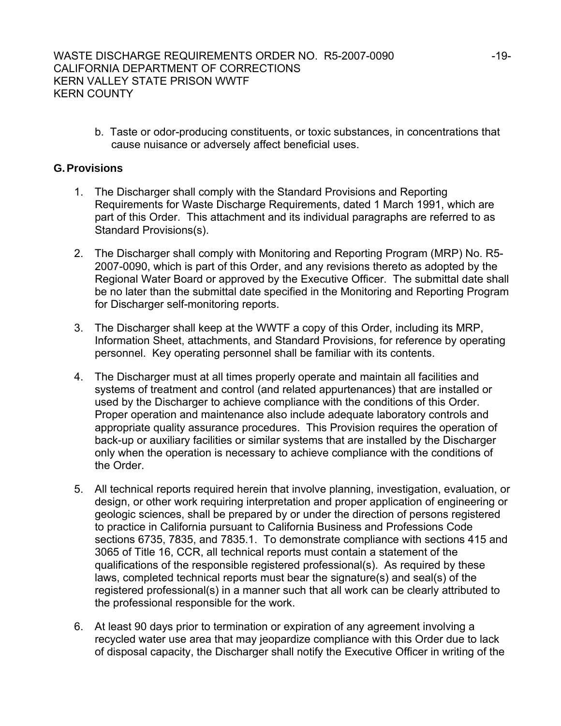b. Taste or odor-producing constituents, or toxic substances, in concentrations that cause nuisance or adversely affect beneficial uses.

### **G. Provisions**

- 1. The Discharger shall comply with the Standard Provisions and Reporting Requirements for Waste Discharge Requirements, dated 1 March 1991, which are part of this Order. This attachment and its individual paragraphs are referred to as Standard Provisions(s).
- 2. The Discharger shall comply with Monitoring and Reporting Program (MRP) No. R5- 2007-0090, which is part of this Order, and any revisions thereto as adopted by the Regional Water Board or approved by the Executive Officer. The submittal date shall be no later than the submittal date specified in the Monitoring and Reporting Program for Discharger self-monitoring reports.
- 3. The Discharger shall keep at the WWTF a copy of this Order, including its MRP, Information Sheet, attachments, and Standard Provisions, for reference by operating personnel. Key operating personnel shall be familiar with its contents.
- 4. The Discharger must at all times properly operate and maintain all facilities and systems of treatment and control (and related appurtenances) that are installed or used by the Discharger to achieve compliance with the conditions of this Order. Proper operation and maintenance also include adequate laboratory controls and appropriate quality assurance procedures. This Provision requires the operation of back-up or auxiliary facilities or similar systems that are installed by the Discharger only when the operation is necessary to achieve compliance with the conditions of the Order.
- 5. All technical reports required herein that involve planning, investigation, evaluation, or design, or other work requiring interpretation and proper application of engineering or geologic sciences, shall be prepared by or under the direction of persons registered to practice in California pursuant to California Business and Professions Code sections 6735, 7835, and 7835.1. To demonstrate compliance with sections 415 and 3065 of Title 16, CCR, all technical reports must contain a statement of the qualifications of the responsible registered professional(s). As required by these laws, completed technical reports must bear the signature(s) and seal(s) of the registered professional(s) in a manner such that all work can be clearly attributed to the professional responsible for the work.
- 6. At least 90 days prior to termination or expiration of any agreement involving a recycled water use area that may jeopardize compliance with this Order due to lack of disposal capacity, the Discharger shall notify the Executive Officer in writing of the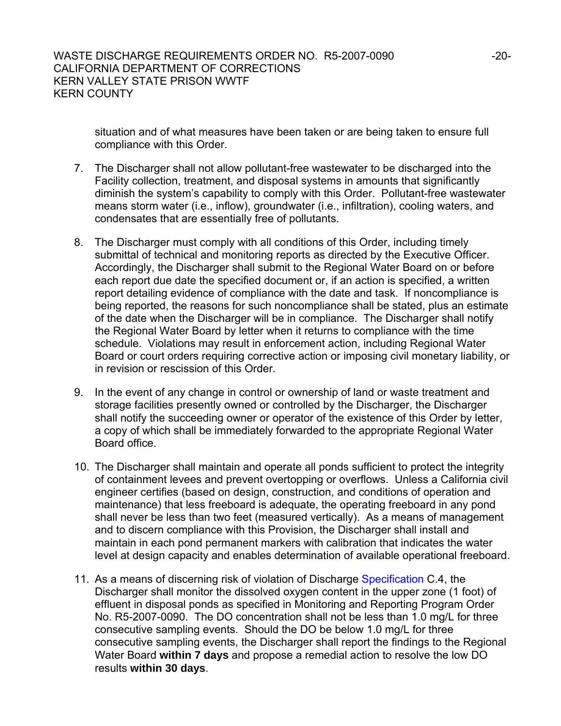situation and of what measures have been taken or are being taken to ensure full compliance with this Order.

- 7. The Discharger shall not allow pollutant-free wastewater to be discharged into the Facility collection, treatment, and disposal systems in amounts that significantly diminish the system's capability to comply with this Order. Pollutant-free wastewater means storm water (i.e., inflow), groundwater (i.e., infiltration), cooling waters, and condensates that are essentially free of pollutants.
- 8. The Discharger must comply with all conditions of this Order, including timely submittal of technical and monitoring reports as directed by the Executive Officer. Accordingly, the Discharger shall submit to the Regional Water Board on or before each report due date the specified document or, if an action is specified, a written report detailing evidence of compliance with the date and task. If noncompliance is being reported, the reasons for such noncompliance shall be stated, plus an estimate of the date when the Discharger will be in compliance. The Discharger shall notify the Regional Water Board by letter when it returns to compliance with the time schedule. Violations may result in enforcement action, including Regional Water Board or court orders requiring corrective action or imposing civil monetary liability, or in revision or rescission of this Order.
- 9. In the event of any change in control or ownership of land or waste treatment and storage facilities presently owned or controlled by the Discharger, the Discharger shall notify the succeeding owner or operator of the existence of this Order by letter, a copy of which shall be immediately forwarded to the appropriate Regional Water Board office.
- 10. The Discharger shall maintain and operate all ponds sufficient to protect the integrity of containment levees and prevent overtopping or overflows. Unless a California civil engineer certifies (based on design, construction, and conditions of operation and maintenance) that less freeboard is adequate, the operating freeboard in any pond shall never be less than two feet (measured vertically). As a means of management and to discern compliance with this Provision, the Discharger shall install and maintain in each pond permanent markers with calibration that indicates the water level at design capacity and enables determination of available operational freeboard.
- 11. As a means of discerning risk of violation of Discharge Specification C.4, the Discharger shall monitor the dissolved oxygen content in the upper zone (1 foot) of effluent in disposal ponds as specified in Monitoring and Reporting Program Order No. R5-2007-0090. The DO concentration shall not be less than 1.0 mg/L for three consecutive sampling events. Should the DO be below 1.0 mg/L for three consecutive sampling events, the Discharger shall report the findings to the Regional Water Board **within 7 days** and propose a remedial action to resolve the low DO results **within 30 days**.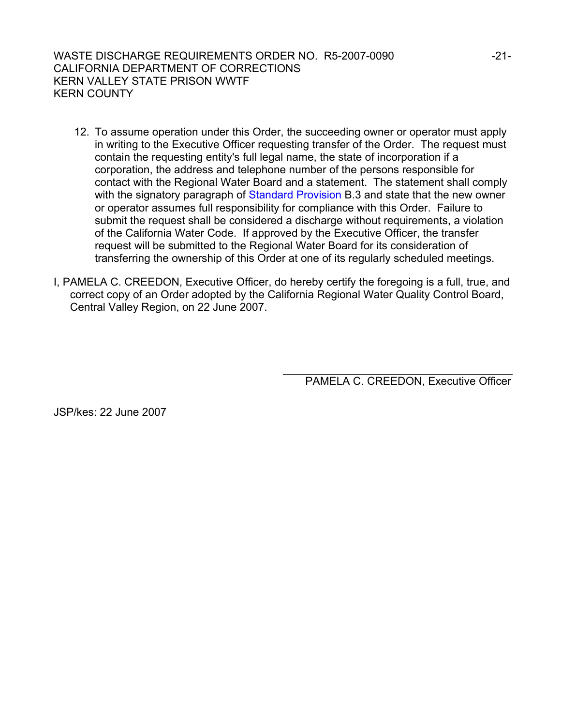- 12. To assume operation under this Order, the succeeding owner or operator must apply in writing to the Executive Officer requesting transfer of the Order. The request must contain the requesting entity's full legal name, the state of incorporation if a corporation, the address and telephone number of the persons responsible for contact with the Regional Water Board and a statement. The statement shall comply with the signatory paragraph of Standard Provision B.3 and state that the new owner or operator assumes full responsibility for compliance with this Order. Failure to submit the request shall be considered a discharge without requirements, a violation of the California Water Code. If approved by the Executive Officer, the transfer request will be submitted to the Regional Water Board for its consideration of transferring the ownership of this Order at one of its regularly scheduled meetings.
- I, PAMELA C. CREEDON, Executive Officer, do hereby certify the foregoing is a full, true, and correct copy of an Order adopted by the California Regional Water Quality Control Board, Central Valley Region, on 22 June 2007.

PAMELA C. CREEDON, Executive Officer

JSP/kes: 22 June 2007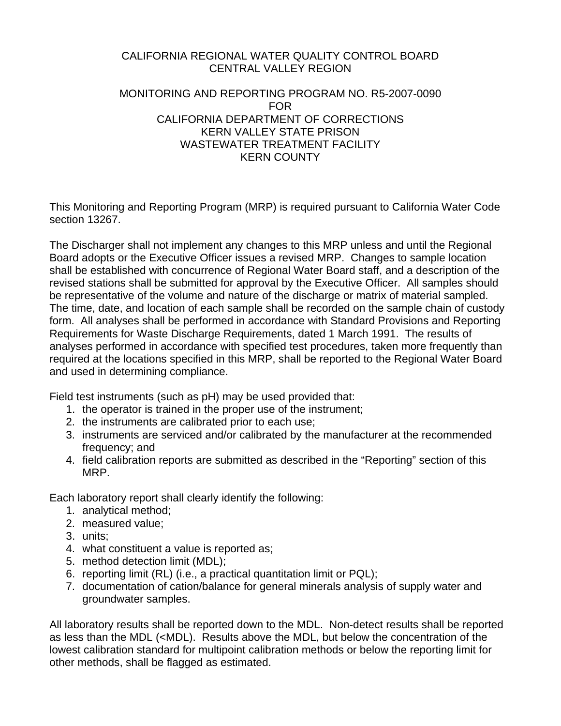### CALIFORNIA REGIONAL WATER QUALITY CONTROL BOARD CENTRAL VALLEY REGION

#### MONITORING AND REPORTING PROGRAM NO. R5-2007-0090 FOR CALIFORNIA DEPARTMENT OF CORRECTIONS KERN VALLEY STATE PRISON WASTEWATER TREATMENT FACILITY KERN COUNTY

This Monitoring and Reporting Program (MRP) is required pursuant to California Water Code section 13267.

The Discharger shall not implement any changes to this MRP unless and until the Regional Board adopts or the Executive Officer issues a revised MRP. Changes to sample location shall be established with concurrence of Regional Water Board staff, and a description of the revised stations shall be submitted for approval by the Executive Officer. All samples should be representative of the volume and nature of the discharge or matrix of material sampled. The time, date, and location of each sample shall be recorded on the sample chain of custody form. All analyses shall be performed in accordance with Standard Provisions and Reporting Requirements for Waste Discharge Requirements, dated 1 March 1991. The results of analyses performed in accordance with specified test procedures, taken more frequently than required at the locations specified in this MRP, shall be reported to the Regional Water Board and used in determining compliance.

Field test instruments (such as pH) may be used provided that:

- 1. the operator is trained in the proper use of the instrument;
- 2. the instruments are calibrated prior to each use;
- 3. instruments are serviced and/or calibrated by the manufacturer at the recommended frequency; and
- 4. field calibration reports are submitted as described in the "Reporting" section of this MRP.

Each laboratory report shall clearly identify the following:

- 1. analytical method;
- 2. measured value;
- 3. units;
- 4. what constituent a value is reported as;
- 5. method detection limit (MDL);
- 6. reporting limit (RL) (i.e., a practical quantitation limit or PQL);
- 7. documentation of cation/balance for general minerals analysis of supply water and groundwater samples.

All laboratory results shall be reported down to the MDL. Non-detect results shall be reported as less than the MDL (<MDL). Results above the MDL, but below the concentration of the lowest calibration standard for multipoint calibration methods or below the reporting limit for other methods, shall be flagged as estimated.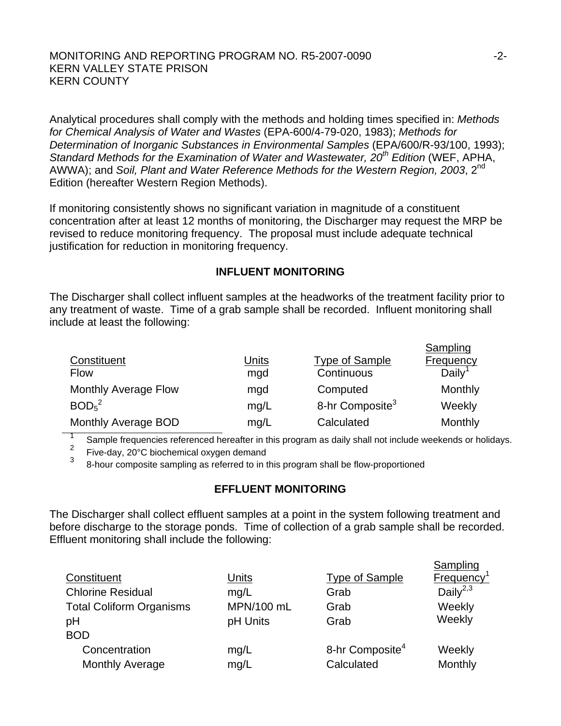#### MONITORING AND REPORTING PROGRAM NO. R5-2007-0090 KERN VALLEY STATE PRISON KERN COUNTY

Analytical procedures shall comply with the methods and holding times specified in: *Methods for Chemical Analysis of Water and Wastes* (EPA-600/4-79-020, 1983); *Methods for Determination of Inorganic Substances in Environmental Samples* (EPA/600/R-93/100, 1993); Standard Methods for the Examination of Water and Wastewater, 20<sup>th</sup> Edition (WEF, APHA, AWWA); and *Soil, Plant and Water Reference Methods for the Western Region, 2003*, 2nd Edition (hereafter Western Region Methods).

If monitoring consistently shows no significant variation in magnitude of a constituent concentration after at least 12 months of monitoring, the Discharger may request the MRP be revised to reduce monitoring frequency. The proposal must include adequate technical justification for reduction in monitoring frequency.

#### **INFLUENT MONITORING**

The Discharger shall collect influent samples at the headworks of the treatment facility prior to any treatment of waste. Time of a grab sample shall be recorded. Influent monitoring shall include at least the following:

|                               |       |                             | Sampling           |
|-------------------------------|-------|-----------------------------|--------------------|
| Constituent                   | Units | <b>Type of Sample</b>       | <b>Frequency</b>   |
| <b>Flow</b>                   | mgd   | Continuous                  | Daily <sup>1</sup> |
| <b>Monthly Average Flow</b>   | mgd   | Computed                    | Monthly            |
| BOD <sub>5</sub> <sup>2</sup> | mg/L  | 8-hr Composite <sup>3</sup> | Weekly             |
| Monthly Average BOD           | mg/L  | Calculated                  | Monthly            |

<sup>1</sup> Sample frequencies referenced hereafter in this program as daily shall not include weekends or holidays.<br><sup>2</sup> Eins day, 2020 bioshamical awrent damand

<sup>2</sup> Five-day, 20 $^{\circ}$ C biochemical oxygen demand

<sup>3</sup> 8-hour composite sampling as referred to in this program shall be flow-proportioned

### **EFFLUENT MONITORING**

The Discharger shall collect effluent samples at a point in the system following treatment and before discharge to the storage ponds. Time of collection of a grab sample shall be recorded. Effluent monitoring shall include the following:

|              |                             | Sampling               |
|--------------|-----------------------------|------------------------|
| <b>Units</b> | <b>Type of Sample</b>       | Frequency <sup>1</sup> |
| mq/L         | Grab                        | Daily <sup>2,3</sup>   |
| MPN/100 mL   | Grab                        | Weekly                 |
| pH Units     | Grab                        | Weekly                 |
|              |                             |                        |
| mg/L         | 8-hr Composite <sup>4</sup> | Weekly                 |
| mg/L         | Calculated                  | Monthly                |
|              |                             |                        |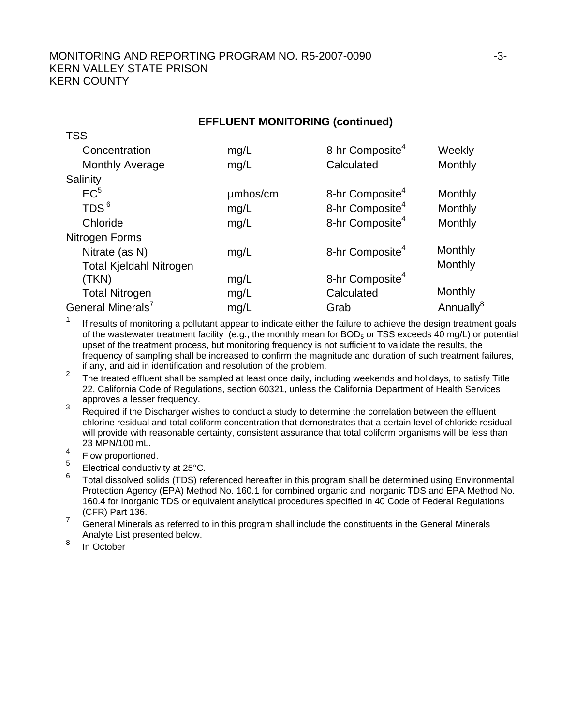### **EFFLUENT MONITORING (continued)**

| . JJ                           |          |                             |                       |
|--------------------------------|----------|-----------------------------|-----------------------|
| Concentration                  | mg/L     | 8-hr Composite <sup>4</sup> | Weekly                |
| <b>Monthly Average</b>         | mg/L     | Calculated                  | Monthly               |
| Salinity                       |          |                             |                       |
| EC <sup>5</sup>                | umhos/cm | 8-hr Composite <sup>4</sup> | Monthly               |
| TDS <sup>6</sup>               | mg/L     | 8-hr Composite <sup>4</sup> | Monthly               |
| Chloride                       | mg/L     | 8-hr Composite <sup>4</sup> | Monthly               |
| Nitrogen Forms                 |          |                             |                       |
| Nitrate (as N)                 | mg/L     | 8-hr Composite <sup>4</sup> | Monthly               |
| <b>Total Kjeldahl Nitrogen</b> |          |                             | Monthly               |
| (TKN)                          | mg/L     | 8-hr Composite <sup>4</sup> |                       |
| <b>Total Nitrogen</b>          | mg/L     | Calculated                  | Monthly               |
| General Minerals <sup>7</sup>  | mg/L     | Grab                        | Annually <sup>8</sup> |
|                                |          |                             |                       |

If results of monitoring a pollutant appear to indicate either the failure to achieve the design treatment goals of the wastewater treatment facility (e.g., the monthly mean for  $BOD_5$  or TSS exceeds 40 mg/L) or potential upset of the treatment process, but monitoring frequency is not sufficient to validate the results, the frequency of sampling shall be increased to confirm the magnitude and duration of such treatment failures, if any, and aid in identification and resolution of the problem.

<sup>2</sup> The treated effluent shall be sampled at least once daily, including weekends and holidays, to satisfy Title 22, California Code of Regulations, section 60321, unless the California Department of Health Services approves a lesser frequency.

- <sup>3</sup> Required if the Discharger wishes to conduct a study to determine the correlation between the effluent chlorine residual and total coliform concentration that demonstrates that a certain level of chloride residual will provide with reasonable certainty, consistent assurance that total coliform organisms will be less than 23 MPN/100 mL.
- $^{4}$  Flow proportioned.

TSS

- $5$  Electrical conductivity at 25 $^{\circ}$ C.
- Total dissolved solids (TDS) referenced hereafter in this program shall be determined using Environmental Protection Agency (EPA) Method No. 160.1 for combined organic and inorganic TDS and EPA Method No. 160.4 for inorganic TDS or equivalent analytical procedures specified in 40 Code of Federal Regulations (CFR) Part 136.
- $\sigma$  General Minerals as referred to in this program shall include the constituents in the General Minerals Analyte List presented below.
- <sup>8</sup> In October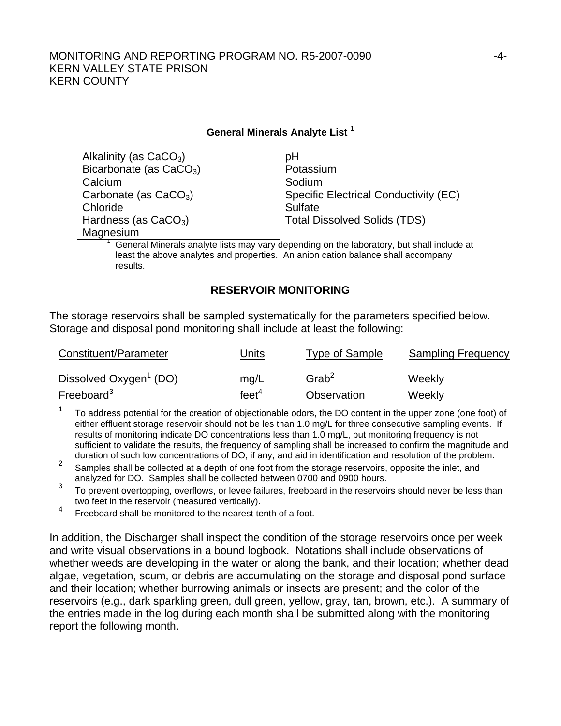#### **General Minerals Analyte List 1**

Alkalinity (as  $CaCO<sub>3</sub>$ ) pH Bicarbonate (as CaCO<sub>3</sub>) Potassium<br>Calcium Calcium Calcium Chloride Sulfate Magnesium 1

Carbonate (as CaCO<sub>3</sub>) Specific Electrical Conductivity (EC) Hardness (as CaCO<sub>3</sub>) Total Dissolved Solids (TDS)

 General Minerals analyte lists may vary depending on the laboratory, but shall include at least the above analytes and properties. An anion cation balance shall accompany results.

#### **RESERVOIR MONITORING**

The storage reservoirs shall be sampled systematically for the parameters specified below. Storage and disposal pond monitoring shall include at least the following:

| Constituent/Parameter              | <u>Units</u>      | Type of Sample       | <b>Sampling Frequency</b> |
|------------------------------------|-------------------|----------------------|---------------------------|
| Dissolved Oxygen <sup>1</sup> (DO) | mq/L              | $G$ rab <sup>2</sup> | Weekly                    |
| Freeboard $3$                      | feet <sup>4</sup> | Observation          | Weekly                    |

<sup>1</sup> To address potential for the creation of objectionable odors, the DO content in the upper zone (one foot) of either effluent storage reservoir should not be les than 1.0 mg/L for three consecutive sampling events. If results of monitoring indicate DO concentrations less than 1.0 mg/L, but monitoring frequency is not sufficient to validate the results, the frequency of sampling shall be increased to confirm the magnitude and duration of such low concentrations of DO, if any, and aid in identification and resolution of the problem.

<sup>2</sup> Samples shall be collected at a depth of one foot from the storage reservoirs, opposite the inlet, and analyzed for DO. Samples shall be collected between 0700 and 0900 hours.

<sup>3</sup> To prevent overtopping, overflows, or levee failures, freeboard in the reservoirs should never be less than two feet in the reservoir (measured vertically).

<sup>4</sup> Freeboard shall be monitored to the nearest tenth of a foot.

In addition, the Discharger shall inspect the condition of the storage reservoirs once per week and write visual observations in a bound logbook. Notations shall include observations of whether weeds are developing in the water or along the bank, and their location; whether dead algae, vegetation, scum, or debris are accumulating on the storage and disposal pond surface and their location; whether burrowing animals or insects are present; and the color of the reservoirs (e.g., dark sparkling green, dull green, yellow, gray, tan, brown, etc.). A summary of the entries made in the log during each month shall be submitted along with the monitoring report the following month.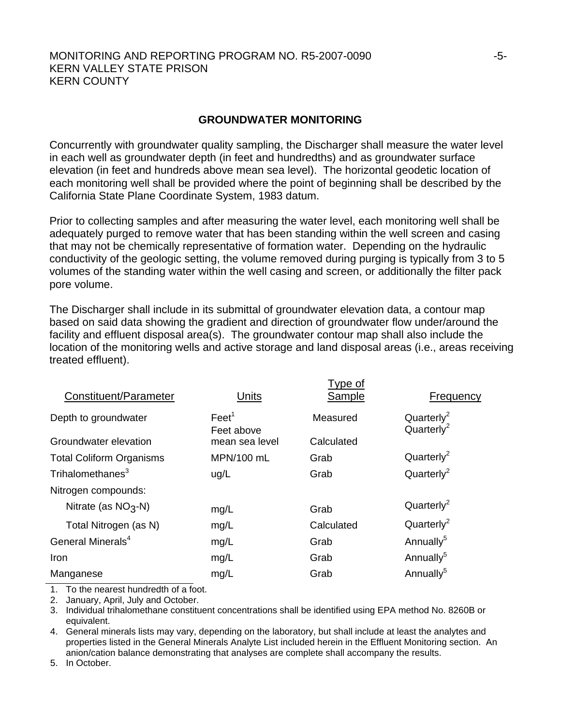### **GROUNDWATER MONITORING**

Concurrently with groundwater quality sampling, the Discharger shall measure the water level in each well as groundwater depth (in feet and hundredths) and as groundwater surface elevation (in feet and hundreds above mean sea level). The horizontal geodetic location of each monitoring well shall be provided where the point of beginning shall be described by the California State Plane Coordinate System, 1983 datum.

Prior to collecting samples and after measuring the water level, each monitoring well shall be adequately purged to remove water that has been standing within the well screen and casing that may not be chemically representative of formation water. Depending on the hydraulic conductivity of the geologic setting, the volume removed during purging is typically from 3 to 5 volumes of the standing water within the well casing and screen, or additionally the filter pack pore volume.

The Discharger shall include in its submittal of groundwater elevation data, a contour map based on said data showing the gradient and direction of groundwater flow under/around the facility and effluent disposal area(s). The groundwater contour map shall also include the location of the monitoring wells and active storage and land disposal areas (i.e., areas receiving treated effluent).

|                                 |                                 | Type of       |                                                  |
|---------------------------------|---------------------------------|---------------|--------------------------------------------------|
| Constituent/Parameter           | Units                           | <b>Sample</b> | <b>Frequency</b>                                 |
| Depth to groundwater            | Feet <sup>1</sup><br>Feet above | Measured      | Quarterly <sup>2</sup><br>Quarterly <sup>2</sup> |
| Groundwater elevation           | mean sea level                  | Calculated    |                                                  |
| <b>Total Coliform Organisms</b> | MPN/100 mL                      | Grab          | Quarterly <sup>2</sup>                           |
| Trihalomethanes <sup>3</sup>    | ug/L                            | Grab          | Quarterly <sup>2</sup>                           |
| Nitrogen compounds:             |                                 |               |                                                  |
| Nitrate (as $NO3-N$ )           | mg/L                            | Grab          | Quarterly <sup>2</sup>                           |
| Total Nitrogen (as N)           | mg/L                            | Calculated    | Quarterly <sup>2</sup>                           |
| General Minerals <sup>4</sup>   | mg/L                            | Grab          | Annually <sup>5</sup>                            |
| <b>Iron</b>                     | mg/L                            | Grab          | Annually <sup>5</sup>                            |
| Manganese                       | mg/L                            | Grab          | Annually <sup>5</sup>                            |

1. To the nearest hundredth of a foot.

2. January, April, July and October.

3. Individual trihalomethane constituent concentrations shall be identified using EPA method No. 8260B or equivalent.

4. General minerals lists may vary, depending on the laboratory, but shall include at least the analytes and properties listed in the General Minerals Analyte List included herein in the Effluent Monitoring section. An anion/cation balance demonstrating that analyses are complete shall accompany the results.

5. In October.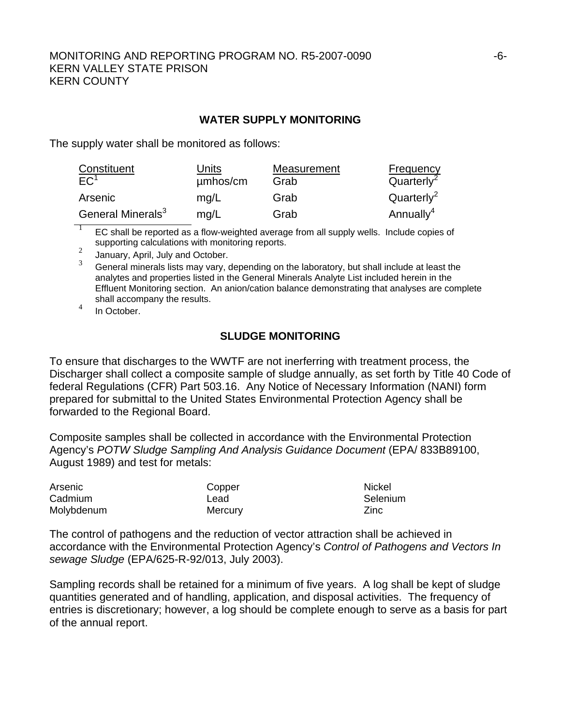#### **WATER SUPPLY MONITORING**

The supply water shall be monitored as follows:

| Constituent<br>EC <sup>1</sup> | Units    | Measurement | <b>Frequency</b>       |
|--------------------------------|----------|-------------|------------------------|
|                                | µmbos/cm | Grab        | Quarterly <sup>2</sup> |
| Arsenic                        | mq/L     | Grab        | Quarterly <sup>2</sup> |
| General Minerals <sup>3</sup>  | mq/L     | Grab        | Annually <sup>4</sup>  |

<sup>1</sup> EC shall be reported as a flow-weighted average from all supply wells. Include copies of supporting calculations with monitoring reports.

 $\frac{2}{3}$  January, April, July and October.

General minerals lists may vary, depending on the laboratory, but shall include at least the analytes and properties listed in the General Minerals Analyte List included herein in the Effluent Monitoring section. An anion/cation balance demonstrating that analyses are complete shall accompany the results.

<sup>4</sup> In October.

#### **SLUDGE MONITORING**

To ensure that discharges to the WWTF are not inerferring with treatment process, the Discharger shall collect a composite sample of sludge annually, as set forth by Title 40 Code of federal Regulations (CFR) Part 503.16. Any Notice of Necessary Information (NANI) form prepared for submittal to the United States Environmental Protection Agency shall be forwarded to the Regional Board.

Composite samples shall be collected in accordance with the Environmental Protection Agency's *POTW Sludge Sampling And Analysis Guidance Document* (EPA/ 833B89100, August 1989) and test for metals:

| Arsenic    | Copper  | Nickel   |
|------------|---------|----------|
| Cadmium    | Lead    | Selenium |
| Molybdenum | Mercury | Zinc     |

The control of pathogens and the reduction of vector attraction shall be achieved in accordance with the Environmental Protection Agency's *Control of Pathogens and Vectors In sewage Sludge* (EPA/625-R-92/013, July 2003).

Sampling records shall be retained for a minimum of five years. A log shall be kept of sludge quantities generated and of handling, application, and disposal activities. The frequency of entries is discretionary; however, a log should be complete enough to serve as a basis for part of the annual report.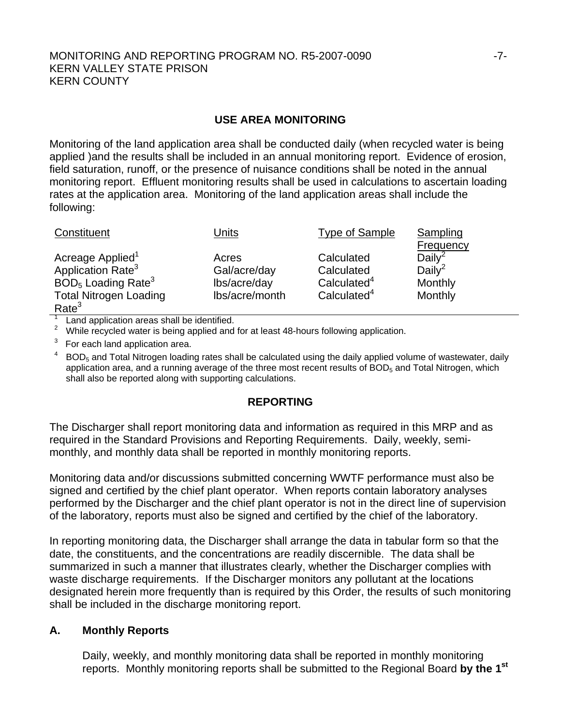#### MONITORING AND REPORTING PROGRAM NO. R5-2007-0090 -7- KERN VALLEY STATE PRISON KERN COUNTY

# **USE AREA MONITORING**

Monitoring of the land application area shall be conducted daily (when recycled water is being applied )and the results shall be included in an annual monitoring report. Evidence of erosion, field saturation, runoff, or the presence of nuisance conditions shall be noted in the annual monitoring report. Effluent monitoring results shall be used in calculations to ascertain loading rates at the application area. Monitoring of the land application areas shall include the following:

| Constituent                                | Units          | Type of Sample          | Sampling           |
|--------------------------------------------|----------------|-------------------------|--------------------|
|                                            |                |                         | Frequency          |
| Acreage Applied <sup>1</sup>               | Acres          | Calculated              | Daily <sup>2</sup> |
| Application Rate <sup>3</sup>              | Gal/acre/day   | Calculated              | Daily <sup>2</sup> |
| BOD <sub>5</sub> Loading Rate <sup>3</sup> | lbs/acre/day   | Calculated <sup>4</sup> | Monthly            |
| <b>Total Nitrogen Loading</b>              | Ibs/acre/month | Calculated <sup>4</sup> | Monthly            |
| Rate <sup>3</sup>                          |                |                         |                    |

<sup>1</sup> Land application areas shall be identified.<br><sup>2</sup> While recycled water is being applied and for at least 48-hours following application.

 $3$  For each land application area.

 $4$  BOD<sub>5</sub> and Total Nitrogen loading rates shall be calculated using the daily applied volume of wastewater, daily application area, and a running average of the three most recent results of  $BOD<sub>5</sub>$  and Total Nitrogen, which shall also be reported along with supporting calculations.

#### **REPORTING**

The Discharger shall report monitoring data and information as required in this MRP and as required in the Standard Provisions and Reporting Requirements. Daily, weekly, semimonthly, and monthly data shall be reported in monthly monitoring reports.

Monitoring data and/or discussions submitted concerning WWTF performance must also be signed and certified by the chief plant operator. When reports contain laboratory analyses performed by the Discharger and the chief plant operator is not in the direct line of supervision of the laboratory, reports must also be signed and certified by the chief of the laboratory.

In reporting monitoring data, the Discharger shall arrange the data in tabular form so that the date, the constituents, and the concentrations are readily discernible. The data shall be summarized in such a manner that illustrates clearly, whether the Discharger complies with waste discharge requirements. If the Discharger monitors any pollutant at the locations designated herein more frequently than is required by this Order, the results of such monitoring shall be included in the discharge monitoring report.

### **A. Monthly Reports**

Daily, weekly, and monthly monitoring data shall be reported in monthly monitoring reports. Monthly monitoring reports shall be submitted to the Regional Board **by the 1st**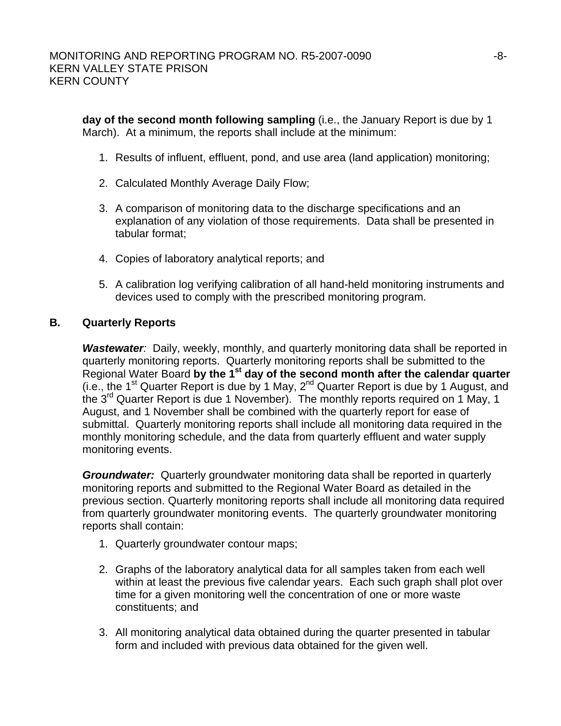**day of the second month following sampling** (i.e., the January Report is due by 1 March). At a minimum, the reports shall include at the minimum:

- 1. Results of influent, effluent, pond, and use area (land application) monitoring;
- 2. Calculated Monthly Average Daily Flow;
- 3. A comparison of monitoring data to the discharge specifications and an explanation of any violation of those requirements. Data shall be presented in tabular format;
- 4. Copies of laboratory analytical reports; and
- 5. A calibration log verifying calibration of all hand-held monitoring instruments and devices used to comply with the prescribed monitoring program.

#### **B. Quarterly Reports**

**Wastewater**: Daily, weekly, monthly, and quarterly monitoring data shall be reported in quarterly monitoring reports. Quarterly monitoring reports shall be submitted to the Regional Water Board **by the 1st day of the second month after the calendar quarter** (i.e., the 1<sup>st</sup> Quarter Report is due by 1 May, 2<sup>nd</sup> Quarter Report is due by 1 August, and the 3<sup>rd</sup> Quarter Report is due 1 November). The monthly reports required on 1 May, 1 August, and 1 November shall be combined with the quarterly report for ease of submittal. Quarterly monitoring reports shall include all monitoring data required in the monthly monitoring schedule, and the data from quarterly effluent and water supply monitoring events.

*Groundwater:* Quarterly groundwater monitoring data shall be reported in quarterly monitoring reports and submitted to the Regional Water Board as detailed in the previous section. Quarterly monitoring reports shall include all monitoring data required from quarterly groundwater monitoring events. The quarterly groundwater monitoring reports shall contain:

- 1. Quarterly groundwater contour maps;
- 2. Graphs of the laboratory analytical data for all samples taken from each well within at least the previous five calendar years. Each such graph shall plot over time for a given monitoring well the concentration of one or more waste constituents; and
- 3. All monitoring analytical data obtained during the quarter presented in tabular form and included with previous data obtained for the given well.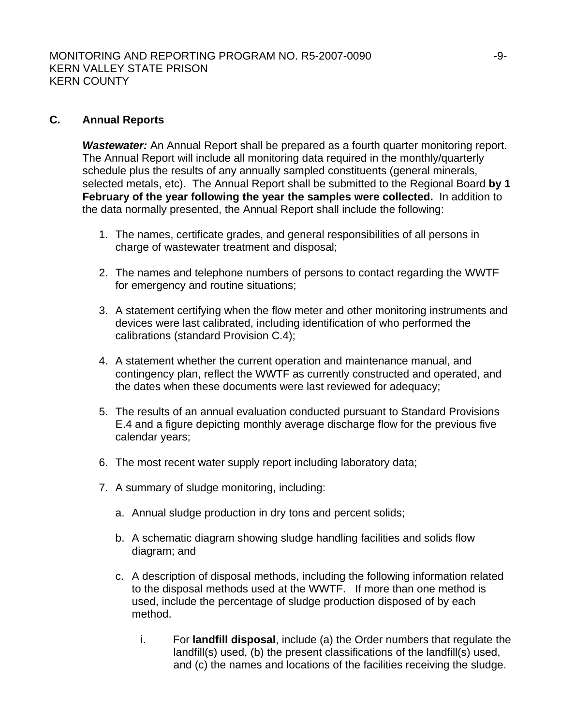### **C. Annual Reports**

*Wastewater:* An Annual Report shall be prepared as a fourth quarter monitoring report. The Annual Report will include all monitoring data required in the monthly/quarterly schedule plus the results of any annually sampled constituents (general minerals, selected metals, etc). The Annual Report shall be submitted to the Regional Board **by 1 February of the year following the year the samples were collected.** In addition to the data normally presented, the Annual Report shall include the following:

- 1. The names, certificate grades, and general responsibilities of all persons in charge of wastewater treatment and disposal;
- 2. The names and telephone numbers of persons to contact regarding the WWTF for emergency and routine situations;
- 3. A statement certifying when the flow meter and other monitoring instruments and devices were last calibrated, including identification of who performed the calibrations (standard Provision C.4);
- 4. A statement whether the current operation and maintenance manual, and contingency plan, reflect the WWTF as currently constructed and operated, and the dates when these documents were last reviewed for adequacy;
- 5. The results of an annual evaluation conducted pursuant to Standard Provisions E.4 and a figure depicting monthly average discharge flow for the previous five calendar years;
- 6. The most recent water supply report including laboratory data;
- 7. A summary of sludge monitoring, including:
	- a. Annual sludge production in dry tons and percent solids;
	- b. A schematic diagram showing sludge handling facilities and solids flow diagram; and
	- c. A description of disposal methods, including the following information related to the disposal methods used at the WWTF. If more than one method is used, include the percentage of sludge production disposed of by each method.
		- i. For **landfill disposal**, include (a) the Order numbers that regulate the landfill(s) used, (b) the present classifications of the landfill(s) used, and (c) the names and locations of the facilities receiving the sludge.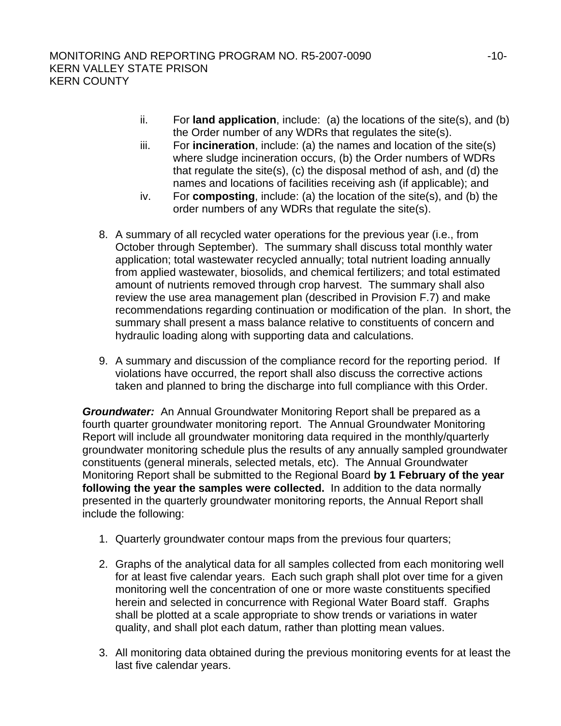- ii. For **land application**, include: (a) the locations of the site(s), and (b) the Order number of any WDRs that regulates the site(s).
- iii. For **incineration**, include: (a) the names and location of the site(s) where sludge incineration occurs, (b) the Order numbers of WDRs that regulate the site(s), (c) the disposal method of ash, and (d) the names and locations of facilities receiving ash (if applicable); and
- iv. For **composting**, include: (a) the location of the site(s), and (b) the order numbers of any WDRs that regulate the site(s).
- 8. A summary of all recycled water operations for the previous year (i.e., from October through September). The summary shall discuss total monthly water application; total wastewater recycled annually; total nutrient loading annually from applied wastewater, biosolids, and chemical fertilizers; and total estimated amount of nutrients removed through crop harvest. The summary shall also review the use area management plan (described in Provision F.7) and make recommendations regarding continuation or modification of the plan. In short, the summary shall present a mass balance relative to constituents of concern and hydraulic loading along with supporting data and calculations.
- 9. A summary and discussion of the compliance record for the reporting period. If violations have occurred, the report shall also discuss the corrective actions taken and planned to bring the discharge into full compliance with this Order.

*Groundwater:* An Annual Groundwater Monitoring Report shall be prepared as a fourth quarter groundwater monitoring report. The Annual Groundwater Monitoring Report will include all groundwater monitoring data required in the monthly/quarterly groundwater monitoring schedule plus the results of any annually sampled groundwater constituents (general minerals, selected metals, etc). The Annual Groundwater Monitoring Report shall be submitted to the Regional Board **by 1 February of the year following the year the samples were collected.** In addition to the data normally presented in the quarterly groundwater monitoring reports, the Annual Report shall include the following:

- 1. Quarterly groundwater contour maps from the previous four quarters;
- 2. Graphs of the analytical data for all samples collected from each monitoring well for at least five calendar years. Each such graph shall plot over time for a given monitoring well the concentration of one or more waste constituents specified herein and selected in concurrence with Regional Water Board staff. Graphs shall be plotted at a scale appropriate to show trends or variations in water quality, and shall plot each datum, rather than plotting mean values.
- 3. All monitoring data obtained during the previous monitoring events for at least the last five calendar years.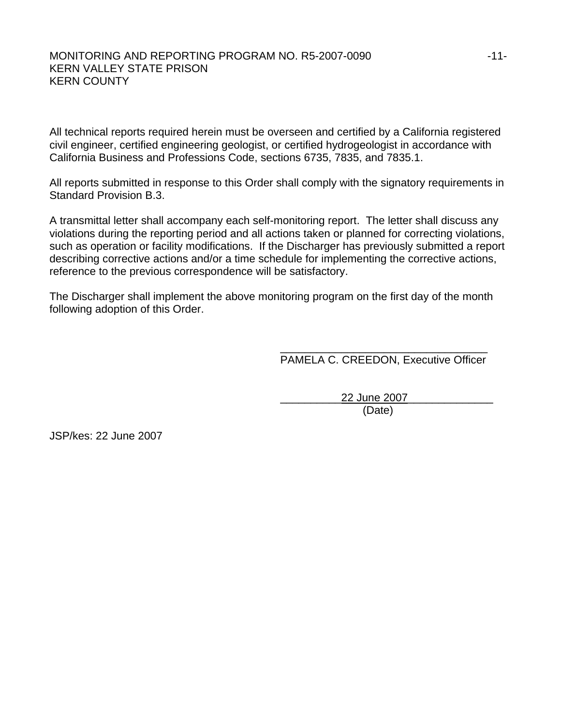#### MONITORING AND REPORTING PROGRAM NO. R5-2007-0090 KERN VALLEY STATE PRISON KERN COUNTY

All technical reports required herein must be overseen and certified by a California registered civil engineer, certified engineering geologist, or certified hydrogeologist in accordance with California Business and Professions Code, sections 6735, 7835, and 7835.1.

All reports submitted in response to this Order shall comply with the signatory requirements in Standard Provision B.3.

A transmittal letter shall accompany each self-monitoring report. The letter shall discuss any violations during the reporting period and all actions taken or planned for correcting violations, such as operation or facility modifications. If the Discharger has previously submitted a report describing corrective actions and/or a time schedule for implementing the corrective actions, reference to the previous correspondence will be satisfactory.

The Discharger shall implement the above monitoring program on the first day of the month following adoption of this Order.

 $\overline{\phantom{a}}$  , which is a set of the set of the set of the set of the set of the set of the set of the set of the set of the set of the set of the set of the set of the set of the set of the set of the set of the set of th

PAMELA C. CREEDON, Executive Officer

22 June 2007\_ (Date)

JSP/kes: 22 June 2007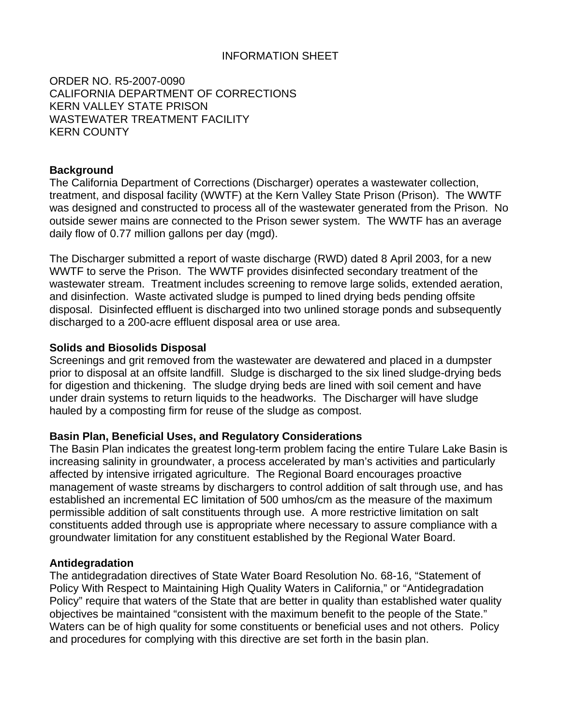### INFORMATION SHEET

ORDER NO. R5-2007-0090 CALIFORNIA DEPARTMENT OF CORRECTIONS KERN VALLEY STATE PRISON WASTEWATER TREATMENT FACILITY KERN COUNTY

#### **Background**

The California Department of Corrections (Discharger) operates a wastewater collection, treatment, and disposal facility (WWTF) at the Kern Valley State Prison (Prison). The WWTF was designed and constructed to process all of the wastewater generated from the Prison. No outside sewer mains are connected to the Prison sewer system. The WWTF has an average daily flow of 0.77 million gallons per day (mgd).

The Discharger submitted a report of waste discharge (RWD) dated 8 April 2003, for a new WWTF to serve the Prison. The WWTF provides disinfected secondary treatment of the wastewater stream. Treatment includes screening to remove large solids, extended aeration, and disinfection. Waste activated sludge is pumped to lined drying beds pending offsite disposal. Disinfected effluent is discharged into two unlined storage ponds and subsequently discharged to a 200-acre effluent disposal area or use area.

#### **Solids and Biosolids Disposal**

Screenings and grit removed from the wastewater are dewatered and placed in a dumpster prior to disposal at an offsite landfill. Sludge is discharged to the six lined sludge-drying beds for digestion and thickening. The sludge drying beds are lined with soil cement and have under drain systems to return liquids to the headworks. The Discharger will have sludge hauled by a composting firm for reuse of the sludge as compost.

### **Basin Plan, Beneficial Uses, and Regulatory Considerations**

The Basin Plan indicates the greatest long-term problem facing the entire Tulare Lake Basin is increasing salinity in groundwater, a process accelerated by man's activities and particularly affected by intensive irrigated agriculture. The Regional Board encourages proactive management of waste streams by dischargers to control addition of salt through use, and has established an incremental EC limitation of 500 umhos/cm as the measure of the maximum permissible addition of salt constituents through use. A more restrictive limitation on salt constituents added through use is appropriate where necessary to assure compliance with a groundwater limitation for any constituent established by the Regional Water Board.

#### **Antidegradation**

The antidegradation directives of State Water Board Resolution No. 68-16, "Statement of Policy With Respect to Maintaining High Quality Waters in California," or "Antidegradation Policy" require that waters of the State that are better in quality than established water quality objectives be maintained "consistent with the maximum benefit to the people of the State." Waters can be of high quality for some constituents or beneficial uses and not others. Policy and procedures for complying with this directive are set forth in the basin plan.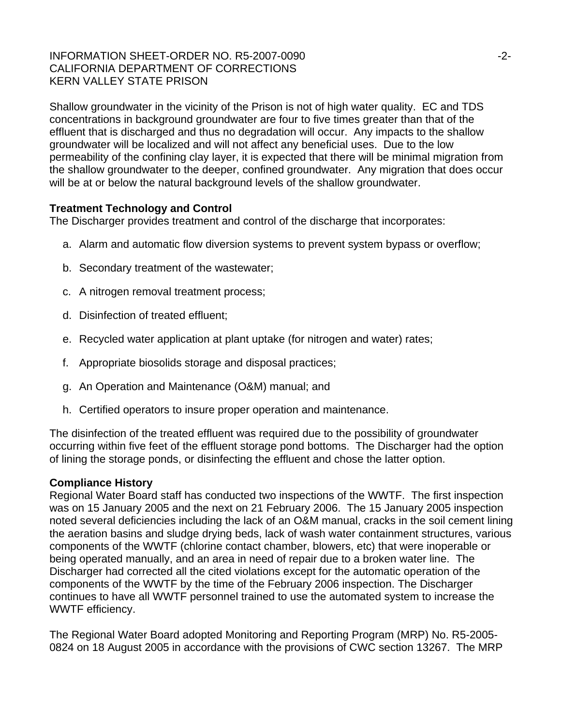### INFORMATION SHEET-ORDER NO. R5-2007-0090 -2- CALIFORNIA DEPARTMENT OF CORRECTIONS KERN VALLEY STATE PRISON

Shallow groundwater in the vicinity of the Prison is not of high water quality. EC and TDS concentrations in background groundwater are four to five times greater than that of the effluent that is discharged and thus no degradation will occur. Any impacts to the shallow groundwater will be localized and will not affect any beneficial uses. Due to the low permeability of the confining clay layer, it is expected that there will be minimal migration from the shallow groundwater to the deeper, confined groundwater. Any migration that does occur will be at or below the natural background levels of the shallow groundwater.

# **Treatment Technology and Control**

The Discharger provides treatment and control of the discharge that incorporates:

- a. Alarm and automatic flow diversion systems to prevent system bypass or overflow;
- b. Secondary treatment of the wastewater;
- c. A nitrogen removal treatment process;
- d. Disinfection of treated effluent;
- e. Recycled water application at plant uptake (for nitrogen and water) rates;
- f. Appropriate biosolids storage and disposal practices;
- g. An Operation and Maintenance (O&M) manual; and
- h. Certified operators to insure proper operation and maintenance.

The disinfection of the treated effluent was required due to the possibility of groundwater occurring within five feet of the effluent storage pond bottoms. The Discharger had the option of lining the storage ponds, or disinfecting the effluent and chose the latter option.

### **Compliance History**

Regional Water Board staff has conducted two inspections of the WWTF. The first inspection was on 15 January 2005 and the next on 21 February 2006. The 15 January 2005 inspection noted several deficiencies including the lack of an O&M manual, cracks in the soil cement lining the aeration basins and sludge drying beds, lack of wash water containment structures, various components of the WWTF (chlorine contact chamber, blowers, etc) that were inoperable or being operated manually, and an area in need of repair due to a broken water line. The Discharger had corrected all the cited violations except for the automatic operation of the components of the WWTF by the time of the February 2006 inspection. The Discharger continues to have all WWTF personnel trained to use the automated system to increase the WWTF efficiency.

The Regional Water Board adopted Monitoring and Reporting Program (MRP) No. R5-2005- 0824 on 18 August 2005 in accordance with the provisions of CWC section 13267. The MRP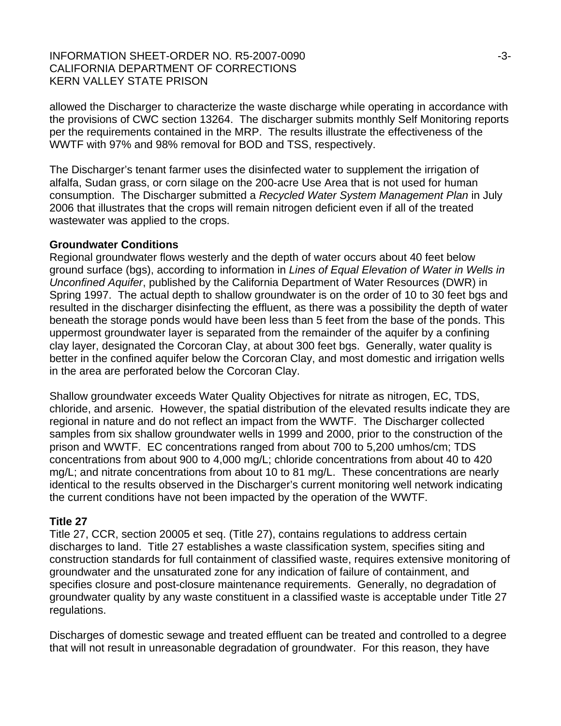#### INFORMATION SHEET-ORDER NO. R5-2007-0090 -3- CALIFORNIA DEPARTMENT OF CORRECTIONS KERN VALLEY STATE PRISON

allowed the Discharger to characterize the waste discharge while operating in accordance with the provisions of CWC section 13264. The discharger submits monthly Self Monitoring reports per the requirements contained in the MRP. The results illustrate the effectiveness of the WWTF with 97% and 98% removal for BOD and TSS, respectively.

The Discharger's tenant farmer uses the disinfected water to supplement the irrigation of alfalfa, Sudan grass, or corn silage on the 200-acre Use Area that is not used for human consumption. The Discharger submitted a *Recycled Water System Management Plan* in July 2006 that illustrates that the crops will remain nitrogen deficient even if all of the treated wastewater was applied to the crops.

#### **Groundwater Conditions**

Regional groundwater flows westerly and the depth of water occurs about 40 feet below ground surface (bgs), according to information in *Lines of Equal Elevation of Water in Wells in Unconfined Aquifer*, published by the California Department of Water Resources (DWR) in Spring 1997. The actual depth to shallow groundwater is on the order of 10 to 30 feet bgs and resulted in the discharger disinfecting the effluent, as there was a possibility the depth of water beneath the storage ponds would have been less than 5 feet from the base of the ponds. This uppermost groundwater layer is separated from the remainder of the aquifer by a confining clay layer, designated the Corcoran Clay, at about 300 feet bgs. Generally, water quality is better in the confined aquifer below the Corcoran Clay, and most domestic and irrigation wells in the area are perforated below the Corcoran Clay.

Shallow groundwater exceeds Water Quality Objectives for nitrate as nitrogen, EC, TDS, chloride, and arsenic. However, the spatial distribution of the elevated results indicate they are regional in nature and do not reflect an impact from the WWTF. The Discharger collected samples from six shallow groundwater wells in 1999 and 2000, prior to the construction of the prison and WWTF. EC concentrations ranged from about 700 to 5,200 umhos/cm; TDS concentrations from about 900 to 4,000 mg/L; chloride concentrations from about 40 to 420 mg/L; and nitrate concentrations from about 10 to 81 mg/L. These concentrations are nearly identical to the results observed in the Discharger's current monitoring well network indicating the current conditions have not been impacted by the operation of the WWTF.

#### **Title 27**

Title 27, CCR, section 20005 et seq. (Title 27), contains regulations to address certain discharges to land. Title 27 establishes a waste classification system, specifies siting and construction standards for full containment of classified waste, requires extensive monitoring of groundwater and the unsaturated zone for any indication of failure of containment, and specifies closure and post-closure maintenance requirements. Generally, no degradation of groundwater quality by any waste constituent in a classified waste is acceptable under Title 27 regulations.

Discharges of domestic sewage and treated effluent can be treated and controlled to a degree that will not result in unreasonable degradation of groundwater. For this reason, they have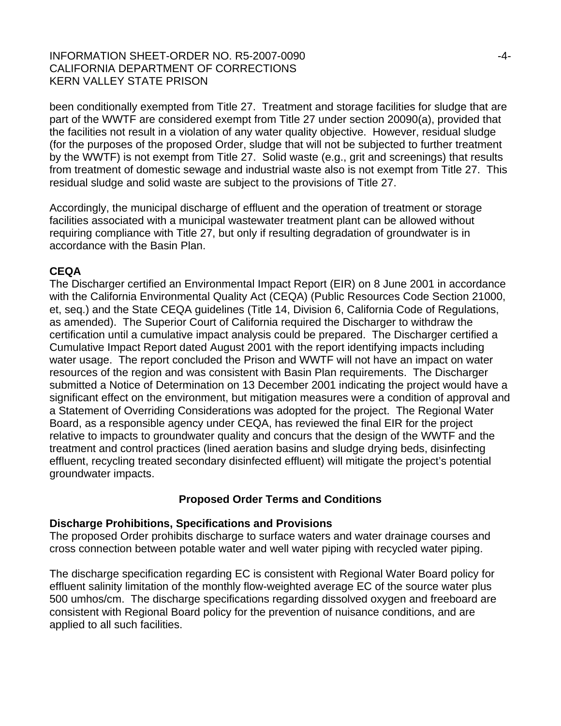### INFORMATION SHEET-ORDER NO. R5-2007-0090 -4- CALIFORNIA DEPARTMENT OF CORRECTIONS KERN VALLEY STATE PRISON

been conditionally exempted from Title 27. Treatment and storage facilities for sludge that are part of the WWTF are considered exempt from Title 27 under section 20090(a), provided that the facilities not result in a violation of any water quality objective. However, residual sludge (for the purposes of the proposed Order, sludge that will not be subjected to further treatment by the WWTF) is not exempt from Title 27. Solid waste (e.g., grit and screenings) that results from treatment of domestic sewage and industrial waste also is not exempt from Title 27. This residual sludge and solid waste are subject to the provisions of Title 27.

Accordingly, the municipal discharge of effluent and the operation of treatment or storage facilities associated with a municipal wastewater treatment plant can be allowed without requiring compliance with Title 27, but only if resulting degradation of groundwater is in accordance with the Basin Plan.

# **CEQA**

The Discharger certified an Environmental Impact Report (EIR) on 8 June 2001 in accordance with the California Environmental Quality Act (CEQA) (Public Resources Code Section 21000, et, seq.) and the State CEQA guidelines (Title 14, Division 6, California Code of Regulations, as amended). The Superior Court of California required the Discharger to withdraw the certification until a cumulative impact analysis could be prepared. The Discharger certified a Cumulative Impact Report dated August 2001 with the report identifying impacts including water usage. The report concluded the Prison and WWTF will not have an impact on water resources of the region and was consistent with Basin Plan requirements. The Discharger submitted a Notice of Determination on 13 December 2001 indicating the project would have a significant effect on the environment, but mitigation measures were a condition of approval and a Statement of Overriding Considerations was adopted for the project. The Regional Water Board, as a responsible agency under CEQA, has reviewed the final EIR for the project relative to impacts to groundwater quality and concurs that the design of the WWTF and the treatment and control practices (lined aeration basins and sludge drying beds, disinfecting effluent, recycling treated secondary disinfected effluent) will mitigate the project's potential groundwater impacts.

### **Proposed Order Terms and Conditions**

### **Discharge Prohibitions, Specifications and Provisions**

The proposed Order prohibits discharge to surface waters and water drainage courses and cross connection between potable water and well water piping with recycled water piping.

The discharge specification regarding EC is consistent with Regional Water Board policy for effluent salinity limitation of the monthly flow-weighted average EC of the source water plus 500 umhos/cm. The discharge specifications regarding dissolved oxygen and freeboard are consistent with Regional Board policy for the prevention of nuisance conditions, and are applied to all such facilities.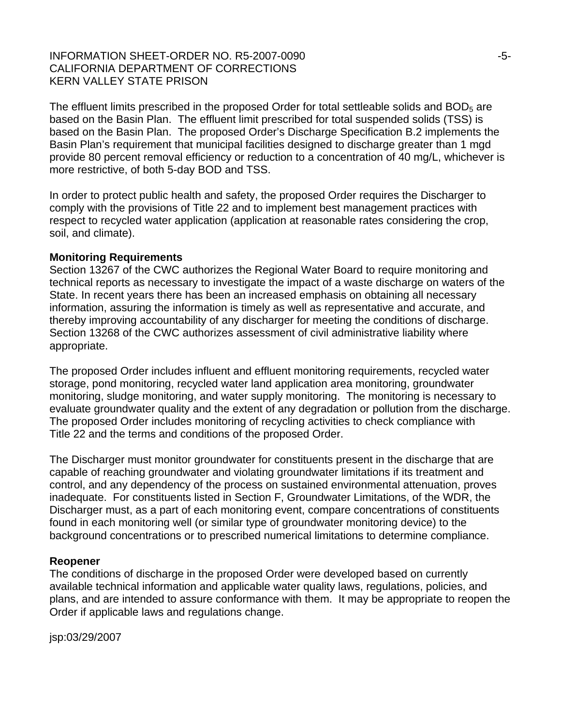#### INFORMATION SHEET-ORDER NO. R5-2007-0090 **FORMATION** SHEET-ORDER NO. 85-2007-0090 CALIFORNIA DEPARTMENT OF CORRECTIONS KERN VALLEY STATE PRISON

The effluent limits prescribed in the proposed Order for total settleable solids and  $BOD<sub>5</sub>$  are based on the Basin Plan. The effluent limit prescribed for total suspended solids (TSS) is based on the Basin Plan. The proposed Order's Discharge Specification B.2 implements the Basin Plan's requirement that municipal facilities designed to discharge greater than 1 mgd provide 80 percent removal efficiency or reduction to a concentration of 40 mg/L, whichever is more restrictive, of both 5-day BOD and TSS.

In order to protect public health and safety, the proposed Order requires the Discharger to comply with the provisions of Title 22 and to implement best management practices with respect to recycled water application (application at reasonable rates considering the crop, soil, and climate).

#### **Monitoring Requirements**

Section 13267 of the CWC authorizes the Regional Water Board to require monitoring and technical reports as necessary to investigate the impact of a waste discharge on waters of the State. In recent years there has been an increased emphasis on obtaining all necessary information, assuring the information is timely as well as representative and accurate, and thereby improving accountability of any discharger for meeting the conditions of discharge. Section 13268 of the CWC authorizes assessment of civil administrative liability where appropriate.

The proposed Order includes influent and effluent monitoring requirements, recycled water storage, pond monitoring, recycled water land application area monitoring, groundwater monitoring, sludge monitoring, and water supply monitoring. The monitoring is necessary to evaluate groundwater quality and the extent of any degradation or pollution from the discharge. The proposed Order includes monitoring of recycling activities to check compliance with Title 22 and the terms and conditions of the proposed Order.

The Discharger must monitor groundwater for constituents present in the discharge that are capable of reaching groundwater and violating groundwater limitations if its treatment and control, and any dependency of the process on sustained environmental attenuation, proves inadequate. For constituents listed in Section F, Groundwater Limitations, of the WDR, the Discharger must, as a part of each monitoring event, compare concentrations of constituents found in each monitoring well (or similar type of groundwater monitoring device) to the background concentrations or to prescribed numerical limitations to determine compliance.

#### **Reopener**

The conditions of discharge in the proposed Order were developed based on currently available technical information and applicable water quality laws, regulations, policies, and plans, and are intended to assure conformance with them. It may be appropriate to reopen the Order if applicable laws and regulations change.

jsp:03/29/2007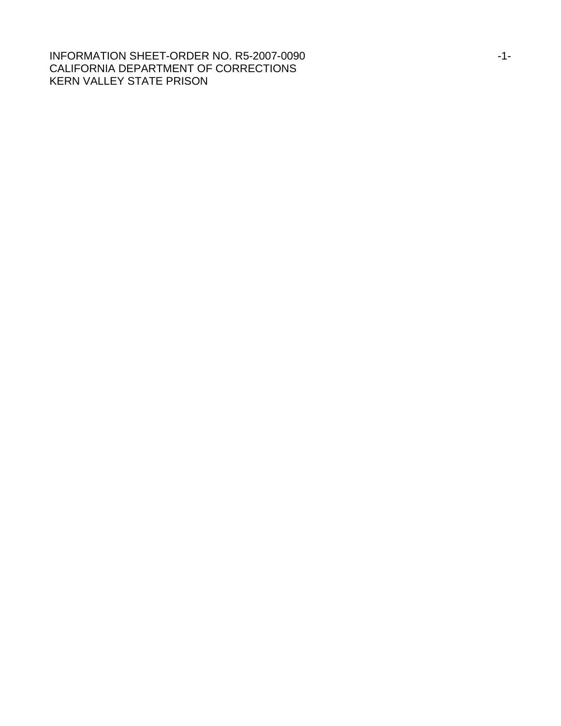INFORMATION SHEET-ORDER NO. R5-2007-0090 **12 CONVERTIGATION** CALIFORNIA DEPARTMENT OF CORRECTIONS KERN VALLEY STATE PRISON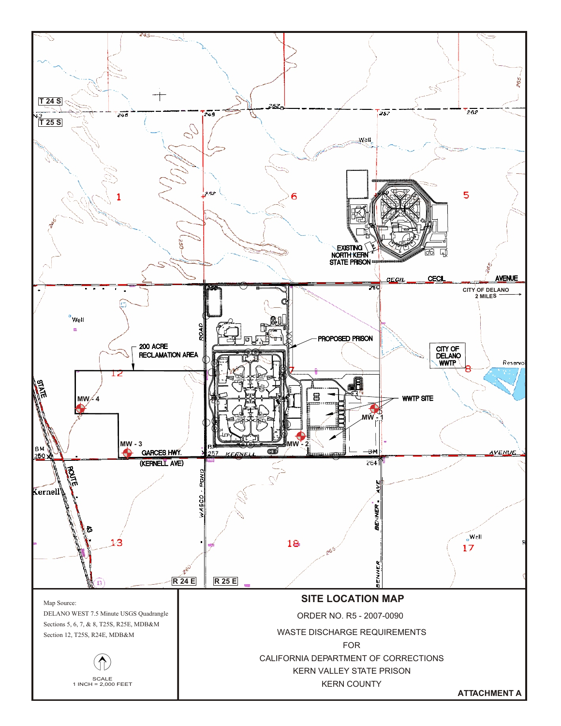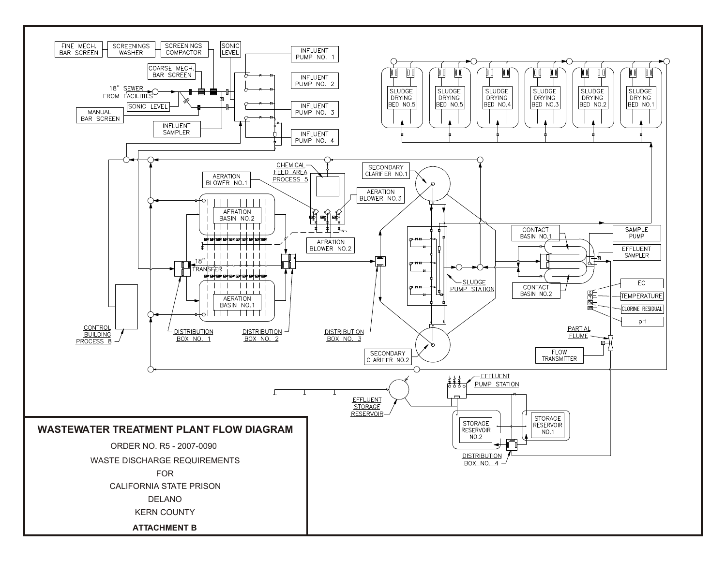